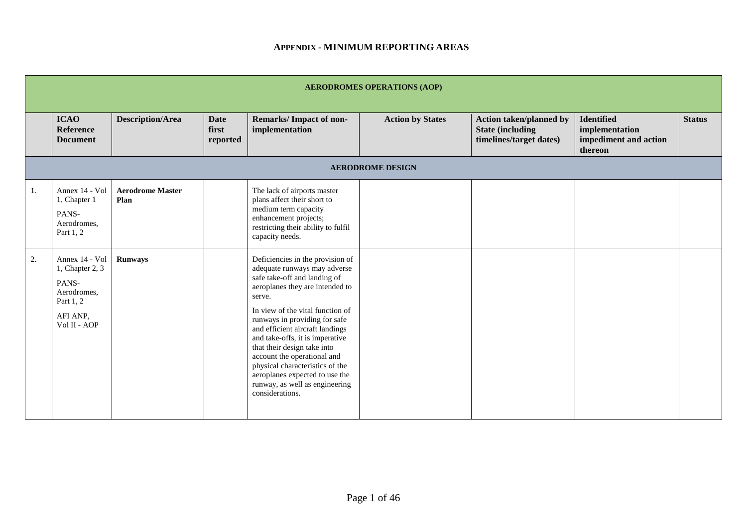## **APPENDIX - MINIMUM REPORTING AREAS**

|    | <b>AERODROMES OPERATIONS (AOP)</b>                                                                 |                                 |                                  |                                                                                                                                                                                                                                                                                                                                                                                                                                                                                  |                         |                                                                                       |                                                                         |               |  |  |
|----|----------------------------------------------------------------------------------------------------|---------------------------------|----------------------------------|----------------------------------------------------------------------------------------------------------------------------------------------------------------------------------------------------------------------------------------------------------------------------------------------------------------------------------------------------------------------------------------------------------------------------------------------------------------------------------|-------------------------|---------------------------------------------------------------------------------------|-------------------------------------------------------------------------|---------------|--|--|
|    | <b>ICAO</b><br><b>Reference</b><br><b>Document</b>                                                 | <b>Description/Area</b>         | <b>Date</b><br>first<br>reported | Remarks/Impact of non-<br>implementation                                                                                                                                                                                                                                                                                                                                                                                                                                         | <b>Action by States</b> | <b>Action taken/planned by</b><br><b>State (including)</b><br>timelines/target dates) | <b>Identified</b><br>implementation<br>impediment and action<br>thereon | <b>Status</b> |  |  |
|    | <b>AERODROME DESIGN</b>                                                                            |                                 |                                  |                                                                                                                                                                                                                                                                                                                                                                                                                                                                                  |                         |                                                                                       |                                                                         |               |  |  |
| 1. | Annex 14 - Vol<br>1, Chapter 1<br>PANS-<br>Aerodromes,<br>Part 1, 2                                | <b>Aerodrome Master</b><br>Plan |                                  | The lack of airports master<br>plans affect their short to<br>medium term capacity<br>enhancement projects;<br>restricting their ability to fulfil<br>capacity needs.                                                                                                                                                                                                                                                                                                            |                         |                                                                                       |                                                                         |               |  |  |
| 2. | Annex 14 - Vol<br>1, Chapter 2, 3<br>PANS-<br>Aerodromes,<br>Part 1, 2<br>AFI ANP,<br>Vol II - AOP | <b>Runways</b>                  |                                  | Deficiencies in the provision of<br>adequate runways may adverse<br>safe take-off and landing of<br>aeroplanes they are intended to<br>serve.<br>In view of the vital function of<br>runways in providing for safe<br>and efficient aircraft landings<br>and take-offs, it is imperative<br>that their design take into<br>account the operational and<br>physical characteristics of the<br>aeroplanes expected to use the<br>runway, as well as engineering<br>considerations. |                         |                                                                                       |                                                                         |               |  |  |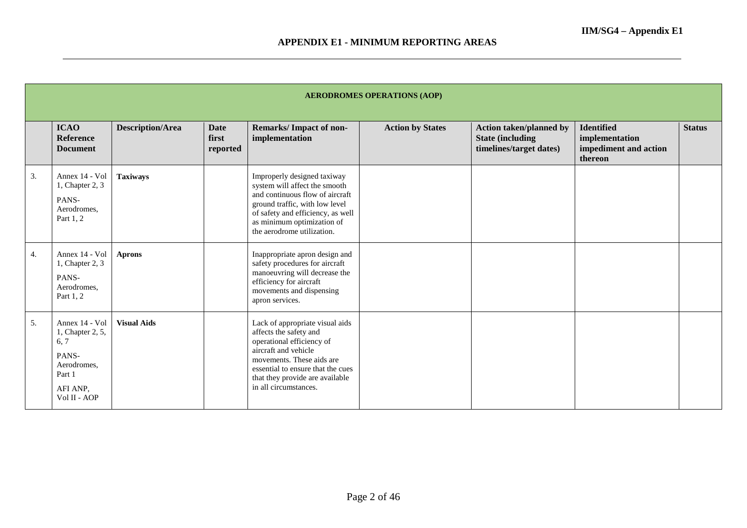|    | <b>AERODROMES OPERATIONS (AOP)</b>                                                                       |                         |                                  |                                                                                                                                                                                                                                              |                         |                                                                                      |                                                                         |               |  |  |
|----|----------------------------------------------------------------------------------------------------------|-------------------------|----------------------------------|----------------------------------------------------------------------------------------------------------------------------------------------------------------------------------------------------------------------------------------------|-------------------------|--------------------------------------------------------------------------------------|-------------------------------------------------------------------------|---------------|--|--|
|    | <b>ICAO</b><br>Reference<br><b>Document</b>                                                              | <b>Description/Area</b> | <b>Date</b><br>first<br>reported | Remarks/Impact of non-<br>implementation                                                                                                                                                                                                     | <b>Action by States</b> | <b>Action taken/planned by</b><br><b>State (including</b><br>timelines/target dates) | <b>Identified</b><br>implementation<br>impediment and action<br>thereon | <b>Status</b> |  |  |
| 3. | Annex 14 - Vol<br>1, Chapter 2, 3<br>PANS-<br>Aerodromes,<br>Part 1, 2                                   | <b>Taxiways</b>         |                                  | Improperly designed taxiway<br>system will affect the smooth<br>and continuous flow of aircraft<br>ground traffic, with low level<br>of safety and efficiency, as well<br>as minimum optimization of<br>the aerodrome utilization.           |                         |                                                                                      |                                                                         |               |  |  |
| 4. | Annex 14 - Vol<br>1, Chapter 2, 3<br>PANS-<br>Aerodromes,<br>Part 1, 2                                   | <b>Aprons</b>           |                                  | Inappropriate apron design and<br>safety procedures for aircraft<br>manoeuvring will decrease the<br>efficiency for aircraft<br>movements and dispensing<br>apron services.                                                                  |                         |                                                                                      |                                                                         |               |  |  |
| 5. | Annex 14 - Vol<br>1, Chapter 2, 5,<br>6, 7<br>PANS-<br>Aerodromes,<br>Part 1<br>AFI ANP,<br>Vol II - AOP | <b>Visual Aids</b>      |                                  | Lack of appropriate visual aids<br>affects the safety and<br>operational efficiency of<br>aircraft and vehicle<br>movements. These aids are<br>essential to ensure that the cues<br>that they provide are available<br>in all circumstances. |                         |                                                                                      |                                                                         |               |  |  |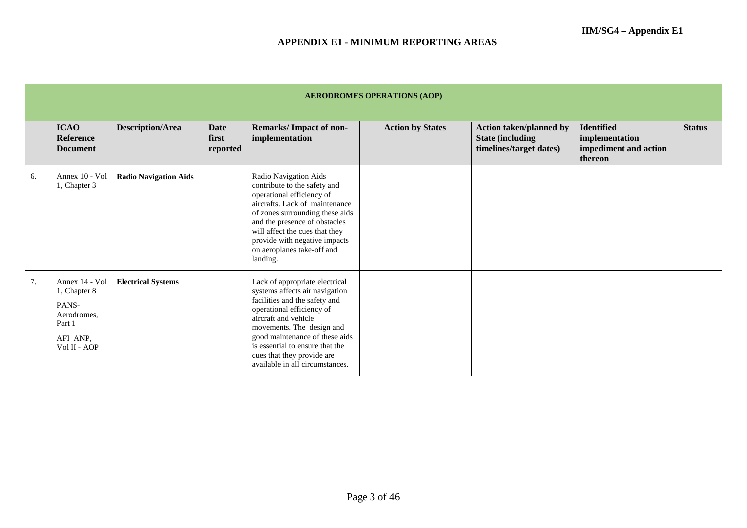|    | <b>AERODROMES OPERATIONS (AOP)</b>                                                           |                              |                                  |                                                                                                                                                                                                                                                                                                                           |                         |                                                                                       |                                                                         |               |  |  |
|----|----------------------------------------------------------------------------------------------|------------------------------|----------------------------------|---------------------------------------------------------------------------------------------------------------------------------------------------------------------------------------------------------------------------------------------------------------------------------------------------------------------------|-------------------------|---------------------------------------------------------------------------------------|-------------------------------------------------------------------------|---------------|--|--|
|    | <b>ICAO</b><br><b>Reference</b><br><b>Document</b>                                           | <b>Description/Area</b>      | <b>Date</b><br>first<br>reported | <b>Remarks/Impact of non-</b><br>implementation                                                                                                                                                                                                                                                                           | <b>Action by States</b> | <b>Action taken/planned by</b><br><b>State (including)</b><br>timelines/target dates) | <b>Identified</b><br>implementation<br>impediment and action<br>thereon | <b>Status</b> |  |  |
| 6. | Annex 10 - Vol<br>1, Chapter 3                                                               | <b>Radio Navigation Aids</b> |                                  | Radio Navigation Aids<br>contribute to the safety and<br>operational efficiency of<br>aircrafts. Lack of maintenance<br>of zones surrounding these aids<br>and the presence of obstacles<br>will affect the cues that they<br>provide with negative impacts<br>on aeroplanes take-off and<br>landing.                     |                         |                                                                                       |                                                                         |               |  |  |
| 7. | Annex 14 - Vol<br>1, Chapter 8<br>PANS-<br>Aerodromes.<br>Part 1<br>AFI ANP.<br>Vol II - AOP | <b>Electrical Systems</b>    |                                  | Lack of appropriate electrical<br>systems affects air navigation<br>facilities and the safety and<br>operational efficiency of<br>aircraft and vehicle<br>movements. The design and<br>good maintenance of these aids<br>is essential to ensure that the<br>cues that they provide are<br>available in all circumstances. |                         |                                                                                       |                                                                         |               |  |  |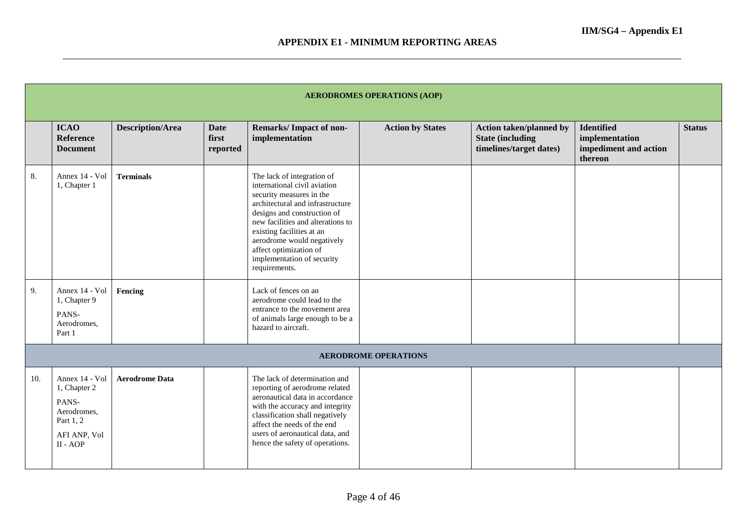|     | <b>AERODROMES OPERATIONS (AOP)</b>                                                              |                         |                                  |                                                                                                                                                                                                                                                                                                                                    |                             |                                                                                       |                                                                         |               |  |
|-----|-------------------------------------------------------------------------------------------------|-------------------------|----------------------------------|------------------------------------------------------------------------------------------------------------------------------------------------------------------------------------------------------------------------------------------------------------------------------------------------------------------------------------|-----------------------------|---------------------------------------------------------------------------------------|-------------------------------------------------------------------------|---------------|--|
|     | <b>ICAO</b><br><b>Reference</b><br><b>Document</b>                                              | <b>Description/Area</b> | <b>Date</b><br>first<br>reported | Remarks/Impact of non-<br>implementation                                                                                                                                                                                                                                                                                           | <b>Action by States</b>     | <b>Action taken/planned by</b><br><b>State (including)</b><br>timelines/target dates) | <b>Identified</b><br>implementation<br>impediment and action<br>thereon | <b>Status</b> |  |
| 8.  | Annex 14 - Vol<br>1, Chapter 1                                                                  | <b>Terminals</b>        |                                  | The lack of integration of<br>international civil aviation<br>security measures in the<br>architectural and infrastructure<br>designs and construction of<br>new facilities and alterations to<br>existing facilities at an<br>aerodrome would negatively<br>affect optimization of<br>implementation of security<br>requirements. |                             |                                                                                       |                                                                         |               |  |
| 9.  | Annex 14 - Vol<br>1, Chapter 9<br>PANS-<br>Aerodromes,<br>Part 1                                | Fencing                 |                                  | Lack of fences on an<br>aerodrome could lead to the<br>entrance to the movement area<br>of animals large enough to be a<br>hazard to aircraft.                                                                                                                                                                                     |                             |                                                                                       |                                                                         |               |  |
|     |                                                                                                 |                         |                                  |                                                                                                                                                                                                                                                                                                                                    | <b>AERODROME OPERATIONS</b> |                                                                                       |                                                                         |               |  |
| 10. | Annex 14 - Vol<br>1, Chapter 2<br>PANS-<br>Aerodromes,<br>Part 1, 2<br>AFI ANP, Vol<br>II - AOP | <b>Aerodrome Data</b>   |                                  | The lack of determination and<br>reporting of aerodrome related<br>aeronautical data in accordance<br>with the accuracy and integrity<br>classification shall negatively<br>affect the needs of the end<br>users of aeronautical data, and<br>hence the safety of operations.                                                      |                             |                                                                                       |                                                                         |               |  |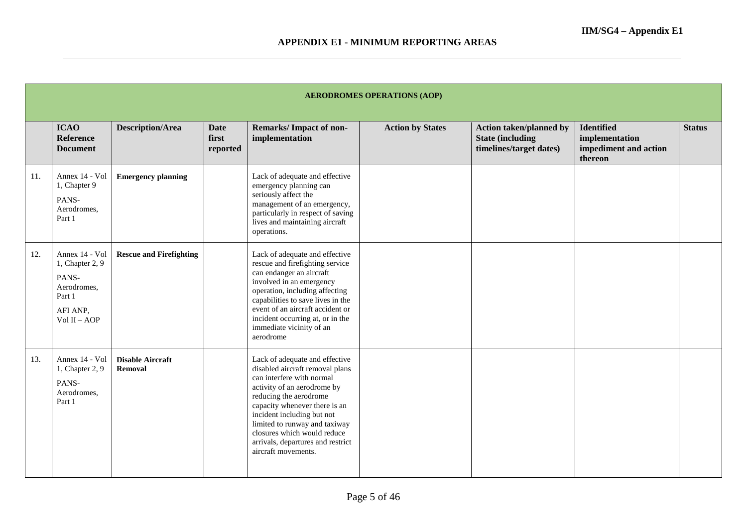|     | <b>AERODROMES OPERATIONS (AOP)</b>                                                              |                                           |                                  |                                                                                                                                                                                                                                                                                                                                                    |                         |                                                                                      |                                                                         |               |  |  |
|-----|-------------------------------------------------------------------------------------------------|-------------------------------------------|----------------------------------|----------------------------------------------------------------------------------------------------------------------------------------------------------------------------------------------------------------------------------------------------------------------------------------------------------------------------------------------------|-------------------------|--------------------------------------------------------------------------------------|-------------------------------------------------------------------------|---------------|--|--|
|     | <b>ICAO</b><br><b>Reference</b><br><b>Document</b>                                              | <b>Description/Area</b>                   | <b>Date</b><br>first<br>reported | <b>Remarks/Impact of non-</b><br>implementation                                                                                                                                                                                                                                                                                                    | <b>Action by States</b> | <b>Action taken/planned by</b><br><b>State (including</b><br>timelines/target dates) | <b>Identified</b><br>implementation<br>impediment and action<br>thereon | <b>Status</b> |  |  |
| 11. | Annex 14 - Vol<br>1, Chapter 9<br>PANS-<br>Aerodromes,<br>Part 1                                | <b>Emergency planning</b>                 |                                  | Lack of adequate and effective<br>emergency planning can<br>seriously affect the<br>management of an emergency,<br>particularly in respect of saving<br>lives and maintaining aircraft<br>operations.                                                                                                                                              |                         |                                                                                      |                                                                         |               |  |  |
| 12. | Annex 14 - Vol<br>1, Chapter 2, 9<br>PANS-<br>Aerodromes,<br>Part 1<br>AFI ANP,<br>Vol II - AOP | <b>Rescue and Firefighting</b>            |                                  | Lack of adequate and effective<br>rescue and firefighting service<br>can endanger an aircraft<br>involved in an emergency<br>operation, including affecting<br>capabilities to save lives in the<br>event of an aircraft accident or<br>incident occurring at, or in the<br>immediate vicinity of an<br>aerodrome                                  |                         |                                                                                      |                                                                         |               |  |  |
| 13. | Annex 14 - Vol<br>1, Chapter 2, 9<br>PANS-<br>Aerodromes,<br>Part 1                             | <b>Disable Aircraft</b><br><b>Removal</b> |                                  | Lack of adequate and effective<br>disabled aircraft removal plans<br>can interfere with normal<br>activity of an aerodrome by<br>reducing the aerodrome<br>capacity whenever there is an<br>incident including but not<br>limited to runway and taxiway<br>closures which would reduce<br>arrivals, departures and restrict<br>aircraft movements. |                         |                                                                                      |                                                                         |               |  |  |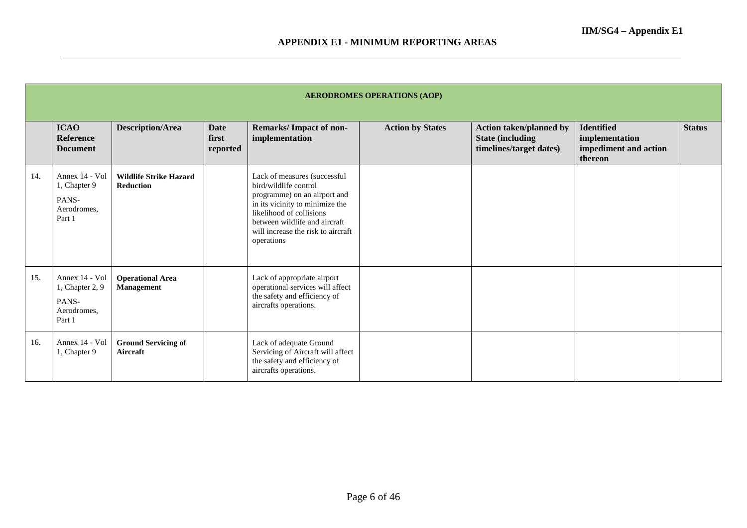|     | <b>AERODROMES OPERATIONS (AOP)</b>                                  |                                                   |                                  |                                                                                                                                                                                                                                           |                         |                                                                                       |                                                                         |               |  |  |
|-----|---------------------------------------------------------------------|---------------------------------------------------|----------------------------------|-------------------------------------------------------------------------------------------------------------------------------------------------------------------------------------------------------------------------------------------|-------------------------|---------------------------------------------------------------------------------------|-------------------------------------------------------------------------|---------------|--|--|
|     | <b>ICAO</b><br><b>Reference</b><br><b>Document</b>                  | <b>Description/Area</b>                           | <b>Date</b><br>first<br>reported | Remarks/Impact of non-<br>implementation                                                                                                                                                                                                  | <b>Action by States</b> | <b>Action taken/planned by</b><br><b>State (including)</b><br>timelines/target dates) | <b>Identified</b><br>implementation<br>impediment and action<br>thereon | <b>Status</b> |  |  |
| 14. | Annex 14 - Vol<br>1, Chapter 9<br>PANS-<br>Aerodromes,<br>Part 1    | <b>Wildlife Strike Hazard</b><br><b>Reduction</b> |                                  | Lack of measures (successful<br>bird/wildlife control<br>programme) on an airport and<br>in its vicinity to minimize the<br>likelihood of collisions<br>between wildlife and aircraft<br>will increase the risk to aircraft<br>operations |                         |                                                                                       |                                                                         |               |  |  |
| 15. | Annex 14 - Vol<br>1, Chapter 2, 9<br>PANS-<br>Aerodromes,<br>Part 1 | <b>Operational Area</b><br>Management             |                                  | Lack of appropriate airport<br>operational services will affect<br>the safety and efficiency of<br>aircrafts operations.                                                                                                                  |                         |                                                                                       |                                                                         |               |  |  |
| 16. | Annex 14 - Vol<br>1, Chapter 9                                      | <b>Ground Servicing of</b><br>Aircraft            |                                  | Lack of adequate Ground<br>Servicing of Aircraft will affect<br>the safety and efficiency of<br>aircrafts operations.                                                                                                                     |                         |                                                                                       |                                                                         |               |  |  |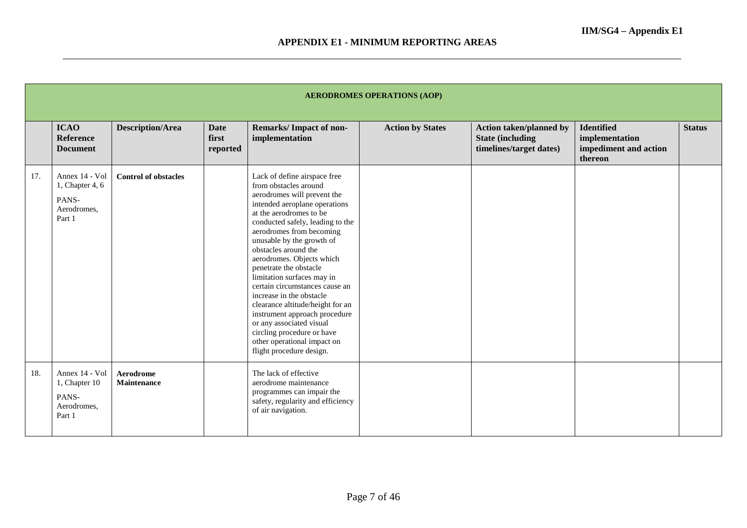|     | <b>AERODROMES OPERATIONS (AOP)</b>                                  |                                        |                                  |                                                                                                                                                                                                                                                                                                                                                                                                                                                                                                                                                                                                                    |                         |                                                                                       |                                                                         |               |  |  |
|-----|---------------------------------------------------------------------|----------------------------------------|----------------------------------|--------------------------------------------------------------------------------------------------------------------------------------------------------------------------------------------------------------------------------------------------------------------------------------------------------------------------------------------------------------------------------------------------------------------------------------------------------------------------------------------------------------------------------------------------------------------------------------------------------------------|-------------------------|---------------------------------------------------------------------------------------|-------------------------------------------------------------------------|---------------|--|--|
|     | <b>ICAO</b><br><b>Reference</b><br><b>Document</b>                  | <b>Description/Area</b>                | <b>Date</b><br>first<br>reported | <b>Remarks/Impact of non-</b><br>implementation                                                                                                                                                                                                                                                                                                                                                                                                                                                                                                                                                                    | <b>Action by States</b> | <b>Action taken/planned by</b><br><b>State (including)</b><br>timelines/target dates) | <b>Identified</b><br>implementation<br>impediment and action<br>thereon | <b>Status</b> |  |  |
| 17. | Annex 14 - Vol<br>1, Chapter 4, 6<br>PANS-<br>Aerodromes,<br>Part 1 | <b>Control of obstacles</b>            |                                  | Lack of define airspace free<br>from obstacles around<br>aerodromes will prevent the<br>intended aeroplane operations<br>at the aerodromes to be<br>conducted safely, leading to the<br>aerodromes from becoming<br>unusable by the growth of<br>obstacles around the<br>aerodromes. Objects which<br>penetrate the obstacle<br>limitation surfaces may in<br>certain circumstances cause an<br>increase in the obstacle<br>clearance altitude/height for an<br>instrument approach procedure<br>or any associated visual<br>circling procedure or have<br>other operational impact on<br>flight procedure design. |                         |                                                                                       |                                                                         |               |  |  |
| 18. | Annex 14 - Vol<br>1, Chapter 10<br>PANS-<br>Aerodromes,<br>Part 1   | <b>Aerodrome</b><br><b>Maintenance</b> |                                  | The lack of effective<br>aerodrome maintenance<br>programmes can impair the<br>safety, regularity and efficiency<br>of air navigation.                                                                                                                                                                                                                                                                                                                                                                                                                                                                             |                         |                                                                                       |                                                                         |               |  |  |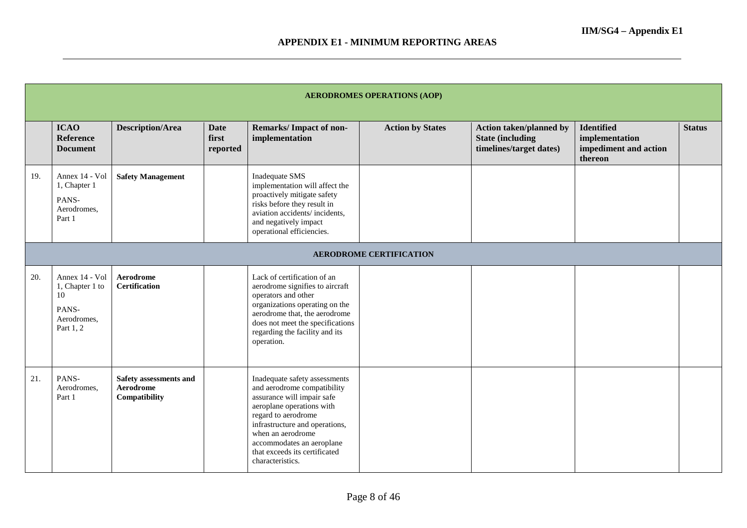|     | <b>AERODROMES OPERATIONS (AOP)</b>                                           |                                                      |                                  |                                                                                                                                                                                                                                                                                         |                         |                                                                                       |                                                                         |               |  |
|-----|------------------------------------------------------------------------------|------------------------------------------------------|----------------------------------|-----------------------------------------------------------------------------------------------------------------------------------------------------------------------------------------------------------------------------------------------------------------------------------------|-------------------------|---------------------------------------------------------------------------------------|-------------------------------------------------------------------------|---------------|--|
|     | <b>ICAO</b><br><b>Reference</b><br><b>Document</b>                           | <b>Description/Area</b>                              | <b>Date</b><br>first<br>reported | Remarks/Impact of non-<br>implementation                                                                                                                                                                                                                                                | <b>Action by States</b> | <b>Action taken/planned by</b><br><b>State (including)</b><br>timelines/target dates) | <b>Identified</b><br>implementation<br>impediment and action<br>thereon | <b>Status</b> |  |
| 19. | Annex 14 - Vol<br>1, Chapter 1<br>PANS-<br>Aerodromes,<br>Part 1             | <b>Safety Management</b>                             |                                  | Inadequate SMS<br>implementation will affect the<br>proactively mitigate safety<br>risks before they result in<br>aviation accidents/incidents,<br>and negatively impact<br>operational efficiencies.                                                                                   |                         |                                                                                       |                                                                         |               |  |
|     | <b>AERODROME CERTIFICATION</b>                                               |                                                      |                                  |                                                                                                                                                                                                                                                                                         |                         |                                                                                       |                                                                         |               |  |
| 20. | Annex 14 - Vol<br>1, Chapter 1 to<br>10<br>PANS-<br>Aerodromes.<br>Part 1, 2 | <b>Aerodrome</b><br><b>Certification</b>             |                                  | Lack of certification of an<br>aerodrome signifies to aircraft<br>operators and other<br>organizations operating on the<br>aerodrome that, the aerodrome<br>does not meet the specifications<br>regarding the facility and its<br>operation.                                            |                         |                                                                                       |                                                                         |               |  |
| 21. | PANS-<br>Aerodromes,<br>Part 1                                               | Safety assessments and<br>Aerodrome<br>Compatibility |                                  | Inadequate safety assessments<br>and aerodrome compatibility<br>assurance will impair safe<br>aeroplane operations with<br>regard to aerodrome<br>infrastructure and operations,<br>when an aerodrome<br>accommodates an aeroplane<br>that exceeds its certificated<br>characteristics. |                         |                                                                                       |                                                                         |               |  |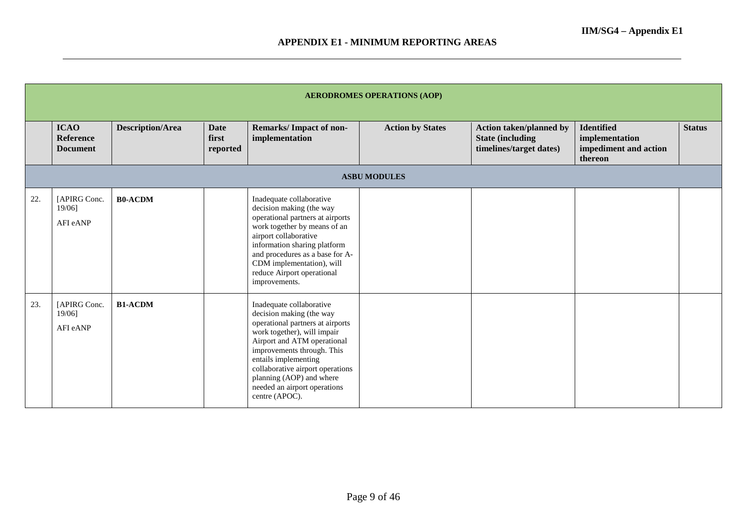|     |                                                    |                         |                                  |                                                                                                                                                                                                                                                                                                                                | <b>AERODROMES OPERATIONS (AOP)</b> |                                                                                       |                                                                         |               |
|-----|----------------------------------------------------|-------------------------|----------------------------------|--------------------------------------------------------------------------------------------------------------------------------------------------------------------------------------------------------------------------------------------------------------------------------------------------------------------------------|------------------------------------|---------------------------------------------------------------------------------------|-------------------------------------------------------------------------|---------------|
|     | <b>ICAO</b><br><b>Reference</b><br><b>Document</b> | <b>Description/Area</b> | <b>Date</b><br>first<br>reported | Remarks/Impact of non-<br>implementation                                                                                                                                                                                                                                                                                       | <b>Action by States</b>            | <b>Action taken/planned by</b><br><b>State (including)</b><br>timelines/target dates) | <b>Identified</b><br>implementation<br>impediment and action<br>thereon | <b>Status</b> |
|     |                                                    |                         |                                  |                                                                                                                                                                                                                                                                                                                                | <b>ASBU MODULES</b>                |                                                                                       |                                                                         |               |
| 22. | [APIRG Conc.<br>$19/06$ ]<br>AFI eANP              | <b>B0-ACDM</b>          |                                  | Inadequate collaborative<br>decision making (the way<br>operational partners at airports<br>work together by means of an<br>airport collaborative<br>information sharing platform<br>and procedures as a base for A-<br>CDM implementation), will<br>reduce Airport operational<br>improvements.                               |                                    |                                                                                       |                                                                         |               |
| 23. | [APIRG Conc.<br>19/06]<br>AFI eANP                 | <b>B1-ACDM</b>          |                                  | Inadequate collaborative<br>decision making (the way<br>operational partners at airports<br>work together), will impair<br>Airport and ATM operational<br>improvements through. This<br>entails implementing<br>collaborative airport operations<br>planning (AOP) and where<br>needed an airport operations<br>centre (APOC). |                                    |                                                                                       |                                                                         |               |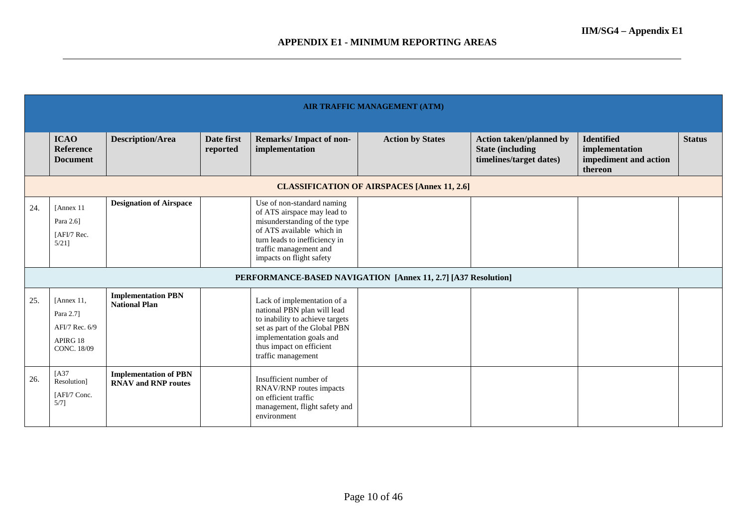|     | <b>AIR TRAFFIC MANAGEMENT (ATM)</b>                                         |                                                                   |                        |                                                                                                                                                                                                               |                                                               |                                                                                       |                                                                         |               |  |  |
|-----|-----------------------------------------------------------------------------|-------------------------------------------------------------------|------------------------|---------------------------------------------------------------------------------------------------------------------------------------------------------------------------------------------------------------|---------------------------------------------------------------|---------------------------------------------------------------------------------------|-------------------------------------------------------------------------|---------------|--|--|
|     | <b>ICAO</b><br>Reference<br><b>Document</b>                                 | <b>Description/Area</b>                                           | Date first<br>reported | <b>Remarks/Impact of non-</b><br>implementation                                                                                                                                                               | <b>Action by States</b>                                       | <b>Action taken/planned by</b><br><b>State (including)</b><br>timelines/target dates) | <b>Identified</b><br>implementation<br>impediment and action<br>thereon | <b>Status</b> |  |  |
|     |                                                                             |                                                                   |                        |                                                                                                                                                                                                               | <b>CLASSIFICATION OF AIRSPACES [Annex 11, 2.6]</b>            |                                                                                       |                                                                         |               |  |  |
| 24. | [Annex 11<br>Para 2.6]<br>[AFI/7 Rec.<br>$5/21$ ]                           | <b>Designation of Airspace</b>                                    |                        | Use of non-standard naming<br>of ATS airspace may lead to<br>misunderstanding of the type<br>of ATS available which in<br>turn leads to inefficiency in<br>traffic management and<br>impacts on flight safety |                                                               |                                                                                       |                                                                         |               |  |  |
|     |                                                                             |                                                                   |                        |                                                                                                                                                                                                               | PERFORMANCE-BASED NAVIGATION [Annex 11, 2.7] [A37 Resolution] |                                                                                       |                                                                         |               |  |  |
| 25. | [Annex 11,<br>Para 2.7]<br>AFI/7 Rec. 6/9<br>APIRG 18<br><b>CONC. 18/09</b> | <b>Implementation PBN</b><br><b>National Plan</b>                 |                        | Lack of implementation of a<br>national PBN plan will lead<br>to inability to achieve targets<br>set as part of the Global PBN<br>implementation goals and<br>thus impact on efficient<br>traffic management  |                                                               |                                                                                       |                                                                         |               |  |  |
| 26. | [A37<br>Resolution]<br>[AFI/7 Conc.<br>$5/7$ ]                              | <b>Implementation of PBN</b><br><b>RNAV</b> and <b>RNP</b> routes |                        | Insufficient number of<br>RNAV/RNP routes impacts<br>on efficient traffic<br>management, flight safety and<br>environment                                                                                     |                                                               |                                                                                       |                                                                         |               |  |  |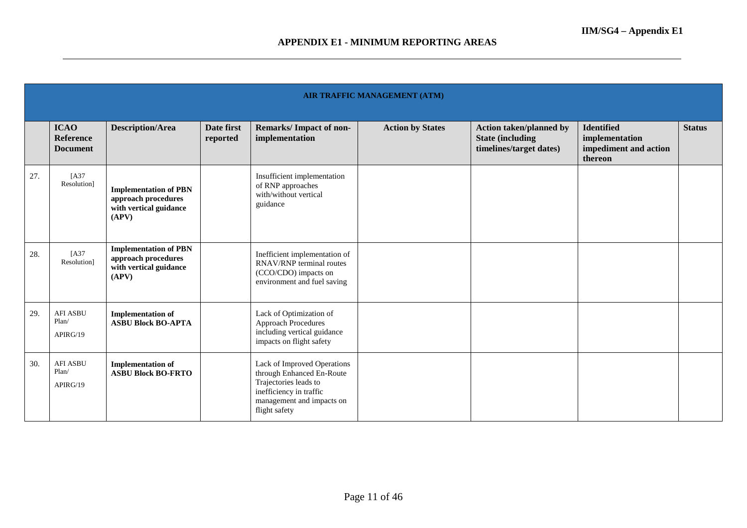|     | <b>AIR TRAFFIC MANAGEMENT (ATM)</b>                |                                                                                        |                        |                                                                                                                                                            |                         |                                                                                      |                                                                         |               |  |  |
|-----|----------------------------------------------------|----------------------------------------------------------------------------------------|------------------------|------------------------------------------------------------------------------------------------------------------------------------------------------------|-------------------------|--------------------------------------------------------------------------------------|-------------------------------------------------------------------------|---------------|--|--|
|     | <b>ICAO</b><br><b>Reference</b><br><b>Document</b> | <b>Description/Area</b>                                                                | Date first<br>reported | <b>Remarks/Impact of non-</b><br>implementation                                                                                                            | <b>Action by States</b> | <b>Action taken/planned by</b><br><b>State (including</b><br>timelines/target dates) | <b>Identified</b><br>implementation<br>impediment and action<br>thereon | <b>Status</b> |  |  |
| 27. | [A37<br>Resolution]                                | <b>Implementation of PBN</b><br>approach procedures<br>with vertical guidance<br>(APV) |                        | Insufficient implementation<br>of RNP approaches<br>with/without vertical<br>guidance                                                                      |                         |                                                                                      |                                                                         |               |  |  |
| 28. | [A37<br>Resolution]                                | <b>Implementation of PBN</b><br>approach procedures<br>with vertical guidance<br>(APV) |                        | Inefficient implementation of<br>RNAV/RNP terminal routes<br>(CCO/CDO) impacts on<br>environment and fuel saving                                           |                         |                                                                                      |                                                                         |               |  |  |
| 29. | <b>AFI ASBU</b><br>Plan/<br>APIRG/19               | <b>Implementation of</b><br><b>ASBU Block BO-APTA</b>                                  |                        | Lack of Optimization of<br><b>Approach Procedures</b><br>including vertical guidance<br>impacts on flight safety                                           |                         |                                                                                      |                                                                         |               |  |  |
| 30. | <b>AFI ASBU</b><br>Plan/<br>APIRG/19               | <b>Implementation of</b><br><b>ASBU Block BO-FRTO</b>                                  |                        | Lack of Improved Operations<br>through Enhanced En-Route<br>Trajectories leads to<br>inefficiency in traffic<br>management and impacts on<br>flight safety |                         |                                                                                      |                                                                         |               |  |  |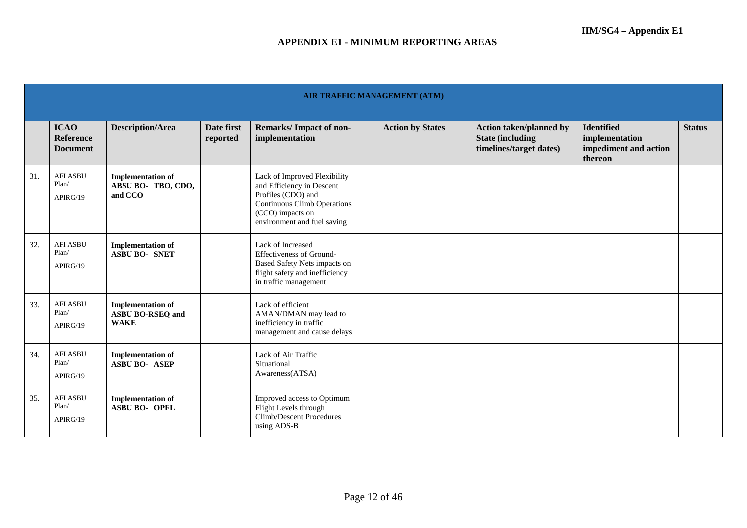|     | <b>AIR TRAFFIC MANAGEMENT (ATM)</b>                |                                                                    |                        |                                                                                                                                                                          |                         |                                                                                      |                                                                         |               |  |  |
|-----|----------------------------------------------------|--------------------------------------------------------------------|------------------------|--------------------------------------------------------------------------------------------------------------------------------------------------------------------------|-------------------------|--------------------------------------------------------------------------------------|-------------------------------------------------------------------------|---------------|--|--|
|     | <b>ICAO</b><br><b>Reference</b><br><b>Document</b> | <b>Description/Area</b>                                            | Date first<br>reported | <b>Remarks/Impact of non-</b><br>implementation                                                                                                                          | <b>Action by States</b> | <b>Action taken/planned by</b><br><b>State (including</b><br>timelines/target dates) | <b>Identified</b><br>implementation<br>impediment and action<br>thereon | <b>Status</b> |  |  |
| 31. | <b>AFI ASBU</b><br>Plan/<br>APIRG/19               | <b>Implementation of</b><br>ABSU BO- TBO, CDO,<br>and CCO          |                        | Lack of Improved Flexibility<br>and Efficiency in Descent<br>Profiles (CDO) and<br><b>Continuous Climb Operations</b><br>(CCO) impacts on<br>environment and fuel saving |                         |                                                                                      |                                                                         |               |  |  |
| 32. | <b>AFI ASBU</b><br>Plan/<br>APIRG/19               | <b>Implementation of</b><br><b>ASBU BO- SNET</b>                   |                        | Lack of Increased<br>Effectiveness of Ground-<br>Based Safety Nets impacts on<br>flight safety and inefficiency<br>in traffic management                                 |                         |                                                                                      |                                                                         |               |  |  |
| 33. | <b>AFI ASBU</b><br>Plan/<br>APIRG/19               | <b>Implementation of</b><br><b>ASBU BO-RSEQ and</b><br><b>WAKE</b> |                        | Lack of efficient<br>AMAN/DMAN may lead to<br>inefficiency in traffic<br>management and cause delays                                                                     |                         |                                                                                      |                                                                         |               |  |  |
| 34. | <b>AFI ASBU</b><br>Plan/<br>APIRG/19               | <b>Implementation of</b><br><b>ASBU BO- ASEP</b>                   |                        | Lack of Air Traffic<br>Situational<br>Awareness(ATSA)                                                                                                                    |                         |                                                                                      |                                                                         |               |  |  |
| 35. | <b>AFI ASBU</b><br>Plan/<br>APIRG/19               | <b>Implementation of</b><br><b>ASBU BO- OPFL</b>                   |                        | Improved access to Optimum<br>Flight Levels through<br>Climb/Descent Procedures<br>using ADS-B                                                                           |                         |                                                                                      |                                                                         |               |  |  |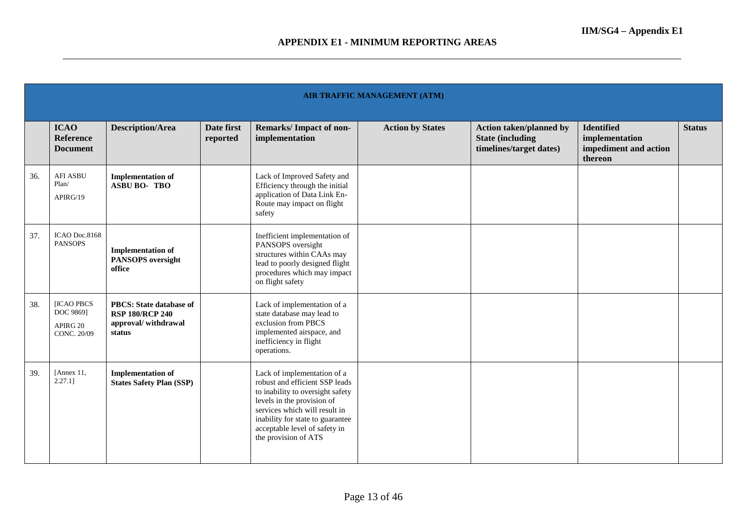|     | <b>AIR TRAFFIC MANAGEMENT (ATM)</b>                      |                                                                                           |                        |                                                                                                                                                                                                                                                               |                         |                                                                                       |                                                                         |               |  |  |
|-----|----------------------------------------------------------|-------------------------------------------------------------------------------------------|------------------------|---------------------------------------------------------------------------------------------------------------------------------------------------------------------------------------------------------------------------------------------------------------|-------------------------|---------------------------------------------------------------------------------------|-------------------------------------------------------------------------|---------------|--|--|
|     | <b>ICAO</b><br><b>Reference</b><br><b>Document</b>       | <b>Description/Area</b>                                                                   | Date first<br>reported | <b>Remarks/Impact of non-</b><br>implementation                                                                                                                                                                                                               | <b>Action by States</b> | <b>Action taken/planned by</b><br><b>State (including)</b><br>timelines/target dates) | <b>Identified</b><br>implementation<br>impediment and action<br>thereon | <b>Status</b> |  |  |
| 36. | <b>AFI ASBU</b><br>Plan/<br>APIRG/19                     | <b>Implementation of</b><br><b>ASBU BO-TBO</b>                                            |                        | Lack of Improved Safety and<br>Efficiency through the initial<br>application of Data Link En-<br>Route may impact on flight<br>safety                                                                                                                         |                         |                                                                                       |                                                                         |               |  |  |
| 37. | ICAO Doc.8168<br><b>PANSOPS</b>                          | <b>Implementation of</b><br><b>PANSOPS</b> oversight<br>office                            |                        | Inefficient implementation of<br>PANSOPS oversight<br>structures within CAAs may<br>lead to poorly designed flight<br>procedures which may impact<br>on flight safety                                                                                         |                         |                                                                                       |                                                                         |               |  |  |
| 38. | <b>ICAO PBCS</b><br>DOC 9869]<br>APIRG 20<br>CONC. 20/09 | <b>PBCS: State database of</b><br><b>RSP 180/RCP 240</b><br>approval/withdrawal<br>status |                        | Lack of implementation of a<br>state database may lead to<br>exclusion from PBCS<br>implemented airspace, and<br>inefficiency in flight<br>operations.                                                                                                        |                         |                                                                                       |                                                                         |               |  |  |
| 39. | [Annex 11,<br>$2.27.1$ ]                                 | <b>Implementation of</b><br><b>States Safety Plan (SSP)</b>                               |                        | Lack of implementation of a<br>robust and efficient SSP leads<br>to inability to oversight safety<br>levels in the provision of<br>services which will result in<br>inability for state to guarantee<br>acceptable level of safety in<br>the provision of ATS |                         |                                                                                       |                                                                         |               |  |  |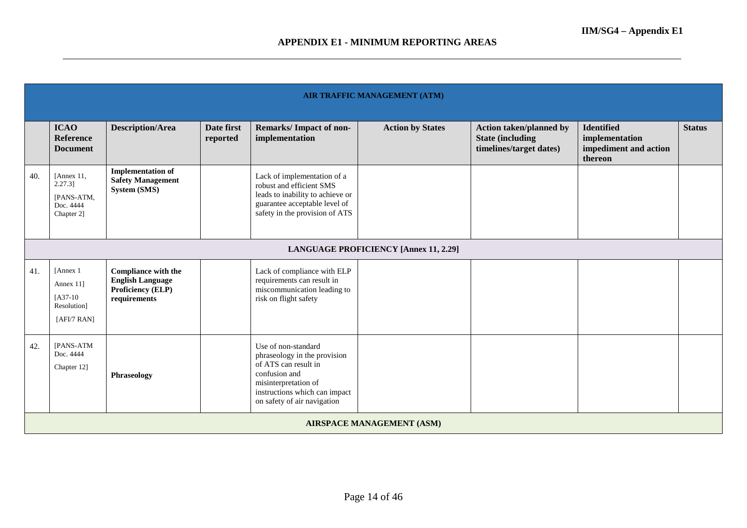|     | <b>AIR TRAFFIC MANAGEMENT (ATM)</b>                               |                                                                                            |                        |                                                                                                                                                                                      |                         |                                                                                      |                                                                         |               |  |  |  |
|-----|-------------------------------------------------------------------|--------------------------------------------------------------------------------------------|------------------------|--------------------------------------------------------------------------------------------------------------------------------------------------------------------------------------|-------------------------|--------------------------------------------------------------------------------------|-------------------------------------------------------------------------|---------------|--|--|--|
|     | <b>ICAO</b><br>Reference<br><b>Document</b>                       | <b>Description/Area</b>                                                                    | Date first<br>reported | <b>Remarks/Impact of non-</b><br>implementation                                                                                                                                      | <b>Action by States</b> | <b>Action taken/planned by</b><br><b>State (including</b><br>timelines/target dates) | <b>Identified</b><br>implementation<br>impediment and action<br>thereon | <b>Status</b> |  |  |  |
| 40. | [Annex 11,<br>$2.27.3$ ]<br>[PANS-ATM,<br>Doc. 4444<br>Chapter 2] | <b>Implementation of</b><br><b>Safety Management</b><br><b>System (SMS)</b>                |                        | Lack of implementation of a<br>robust and efficient SMS<br>leads to inability to achieve or<br>guarantee acceptable level of<br>safety in the provision of ATS                       |                         |                                                                                      |                                                                         |               |  |  |  |
|     | <b>LANGUAGE PROFICIENCY [Annex 11, 2.29]</b>                      |                                                                                            |                        |                                                                                                                                                                                      |                         |                                                                                      |                                                                         |               |  |  |  |
| 41. | [Annex 1]<br>Annex 11]<br>$[A37-10$<br>Resolution]<br>[AFI/7 RAN] | <b>Compliance with the</b><br><b>English Language</b><br>Proficiency (ELP)<br>requirements |                        | Lack of compliance with ELP<br>requirements can result in<br>miscommunication leading to<br>risk on flight safety                                                                    |                         |                                                                                      |                                                                         |               |  |  |  |
| 42. | [PANS-ATM<br>Doc. 4444<br>Chapter 12]                             | Phraseology                                                                                |                        | Use of non-standard<br>phraseology in the provision<br>of ATS can result in<br>confusion and<br>misinterpretation of<br>instructions which can impact<br>on safety of air navigation |                         |                                                                                      |                                                                         |               |  |  |  |
|     | <b>AIRSPACE MANAGEMENT (ASM)</b>                                  |                                                                                            |                        |                                                                                                                                                                                      |                         |                                                                                      |                                                                         |               |  |  |  |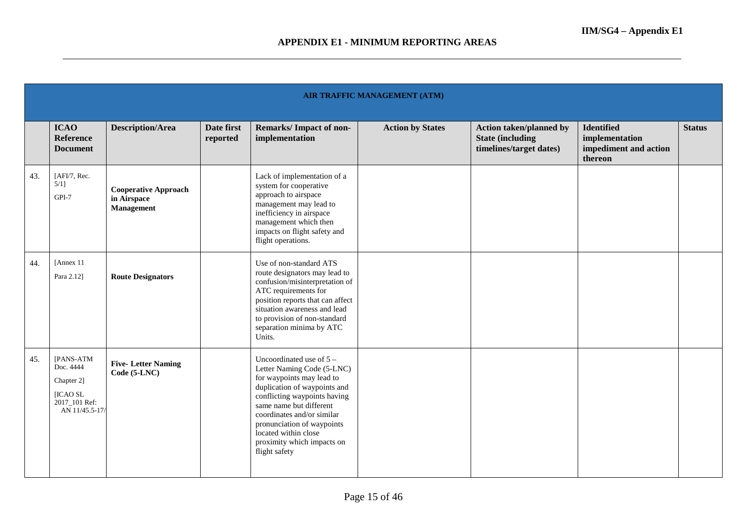|     | AIR TRAFFIC MANAGEMENT (ATM)                                                        |                                                          |                        |                                                                                                                                                                                                                                                                                                                     |                         |                                                                                       |                                                                         |               |  |  |
|-----|-------------------------------------------------------------------------------------|----------------------------------------------------------|------------------------|---------------------------------------------------------------------------------------------------------------------------------------------------------------------------------------------------------------------------------------------------------------------------------------------------------------------|-------------------------|---------------------------------------------------------------------------------------|-------------------------------------------------------------------------|---------------|--|--|
|     | <b>ICAO</b><br><b>Reference</b><br><b>Document</b>                                  | <b>Description/Area</b>                                  | Date first<br>reported | <b>Remarks/Impact of non-</b><br>implementation                                                                                                                                                                                                                                                                     | <b>Action by States</b> | <b>Action taken/planned by</b><br><b>State (including)</b><br>timelines/target dates) | <b>Identified</b><br>implementation<br>impediment and action<br>thereon | <b>Status</b> |  |  |
| 43. | [AFI/7, Rec.<br>$5/1$ ]<br>GPI-7                                                    | <b>Cooperative Approach</b><br>in Airspace<br>Management |                        | Lack of implementation of a<br>system for cooperative<br>approach to airspace<br>management may lead to<br>inefficiency in airspace<br>management which then<br>impacts on flight safety and<br>flight operations.                                                                                                  |                         |                                                                                       |                                                                         |               |  |  |
| 44. | [Annex 11]<br>Para 2.12]                                                            | <b>Route Designators</b>                                 |                        | Use of non-standard ATS<br>route designators may lead to<br>confusion/misinterpretation of<br>ATC requirements for<br>position reports that can affect<br>situation awareness and lead<br>to provision of non-standard<br>separation minima by ATC<br>Units.                                                        |                         |                                                                                       |                                                                         |               |  |  |
| 45. | [PANS-ATM<br>Doc. 4444<br>Chapter 2]<br>[ICAO SL<br>2017 101 Ref:<br>AN 11/45.5-17/ | <b>Five-Letter Naming</b><br>Code (5-LNC)                |                        | Uncoordinated use of $5 -$<br>Letter Naming Code (5-LNC)<br>for waypoints may lead to<br>duplication of waypoints and<br>conflicting waypoints having<br>same name but different<br>coordinates and/or similar<br>pronunciation of waypoints<br>located within close<br>proximity which impacts on<br>flight safety |                         |                                                                                       |                                                                         |               |  |  |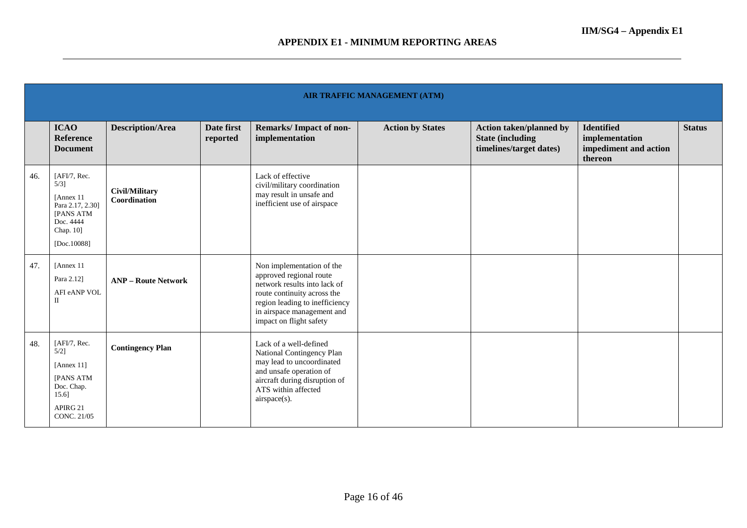|     | <b>AIR TRAFFIC MANAGEMENT (ATM)</b>                                                                             |                                       |                        |                                                                                                                                                                                                                |                         |                                                                                       |                                                                         |               |  |  |  |
|-----|-----------------------------------------------------------------------------------------------------------------|---------------------------------------|------------------------|----------------------------------------------------------------------------------------------------------------------------------------------------------------------------------------------------------------|-------------------------|---------------------------------------------------------------------------------------|-------------------------------------------------------------------------|---------------|--|--|--|
|     | <b>ICAO</b><br><b>Reference</b><br><b>Document</b>                                                              | <b>Description/Area</b>               | Date first<br>reported | <b>Remarks/Impact of non-</b><br>implementation                                                                                                                                                                | <b>Action by States</b> | <b>Action taken/planned by</b><br><b>State (including)</b><br>timelines/target dates) | <b>Identified</b><br>implementation<br>impediment and action<br>thereon | <b>Status</b> |  |  |  |
| 46. | [AFI/7, Rec.<br>$5/3$ ]<br>[Annex 11]<br>Para 2.17, 2.301<br>[PANS ATM<br>Doc. 4444<br>Chap. 10]<br>[Doc.10088] | <b>Civil/Military</b><br>Coordination |                        | Lack of effective<br>civil/military coordination<br>may result in unsafe and<br>inefficient use of airspace                                                                                                    |                         |                                                                                       |                                                                         |               |  |  |  |
| 47. | [Annex 11]<br>Para 2.12]<br>AFI eANP VOL<br>$\mathbf{I}$                                                        | <b>ANP - Route Network</b>            |                        | Non implementation of the<br>approved regional route<br>network results into lack of<br>route continuity across the<br>region leading to inefficiency<br>in airspace management and<br>impact on flight safety |                         |                                                                                       |                                                                         |               |  |  |  |
| 48. | [AFI/7, Rec.<br>5/21<br>[Annex 11]<br>[PANS ATM<br>Doc. Chap.<br>15.6]<br>APIRG 21<br>CONC. 21/05               | <b>Contingency Plan</b>               |                        | Lack of a well-defined<br>National Contingency Plan<br>may lead to uncoordinated<br>and unsafe operation of<br>aircraft during disruption of<br>ATS within affected<br>airspace(s).                            |                         |                                                                                       |                                                                         |               |  |  |  |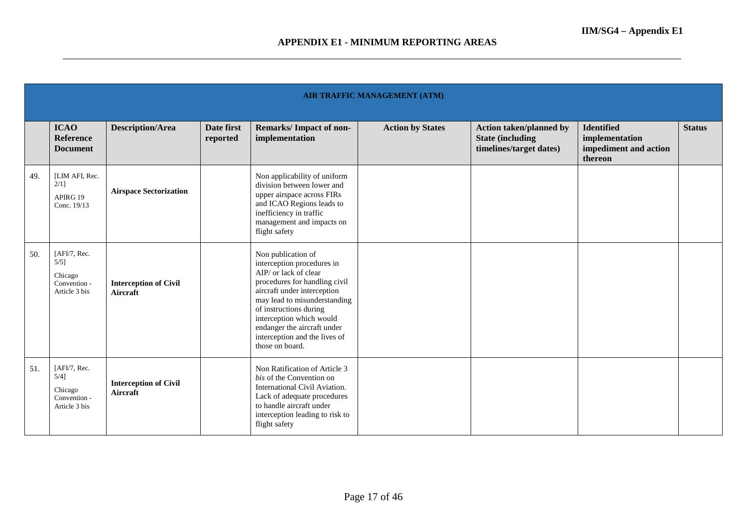|     | <b>AIR TRAFFIC MANAGEMENT (ATM)</b>                                 |                                          |                        |                                                                                                                                                                                                                                                                                                                    |                         |                                                                                       |                                                                         |               |  |  |  |
|-----|---------------------------------------------------------------------|------------------------------------------|------------------------|--------------------------------------------------------------------------------------------------------------------------------------------------------------------------------------------------------------------------------------------------------------------------------------------------------------------|-------------------------|---------------------------------------------------------------------------------------|-------------------------------------------------------------------------|---------------|--|--|--|
|     | <b>ICAO</b><br>Reference<br><b>Document</b>                         | <b>Description/Area</b>                  | Date first<br>reported | <b>Remarks/Impact of non-</b><br>implementation                                                                                                                                                                                                                                                                    | <b>Action by States</b> | <b>Action taken/planned by</b><br><b>State (including)</b><br>timelines/target dates) | <b>Identified</b><br>implementation<br>impediment and action<br>thereon | <b>Status</b> |  |  |  |
| 49. | [LIM AFI, Rec.<br>2/11<br>APIRG 19<br>Conc. 19/13                   | <b>Airspace Sectorization</b>            |                        | Non applicability of uniform<br>division between lower and<br>upper airspace across FIRs<br>and ICAO Regions leads to<br>inefficiency in traffic<br>management and impacts on<br>flight safety                                                                                                                     |                         |                                                                                       |                                                                         |               |  |  |  |
| 50. | [AFI/7, Rec.<br>$5/5$ ]<br>Chicago<br>Convention -<br>Article 3 bis | <b>Interception of Civil</b><br>Aircraft |                        | Non publication of<br>interception procedures in<br>AIP/ or lack of clear<br>procedures for handling civil<br>aircraft under interception<br>may lead to misunderstanding<br>of instructions during<br>interception which would<br>endanger the aircraft under<br>interception and the lives of<br>those on board. |                         |                                                                                       |                                                                         |               |  |  |  |
| 51. | [AFI/7, Rec.<br>$5/4$ ]<br>Chicago<br>Convention -<br>Article 3 bis | <b>Interception of Civil</b><br>Aircraft |                        | Non Ratification of Article 3<br>bis of the Convention on<br>International Civil Aviation.<br>Lack of adequate procedures<br>to handle aircraft under<br>interception leading to risk to<br>flight safety                                                                                                          |                         |                                                                                       |                                                                         |               |  |  |  |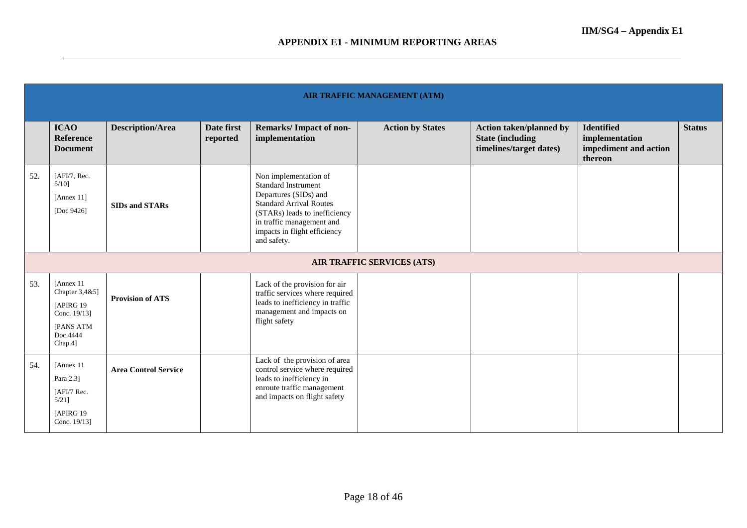|     | <b>AIR TRAFFIC MANAGEMENT (ATM)</b>                                                                   |                             |                        |                                                                                                                                                                                                                             |                                   |                                                                                       |                                                                         |               |  |  |  |  |
|-----|-------------------------------------------------------------------------------------------------------|-----------------------------|------------------------|-----------------------------------------------------------------------------------------------------------------------------------------------------------------------------------------------------------------------------|-----------------------------------|---------------------------------------------------------------------------------------|-------------------------------------------------------------------------|---------------|--|--|--|--|
|     | <b>ICAO</b><br>Reference<br><b>Document</b>                                                           | <b>Description/Area</b>     | Date first<br>reported | Remarks/Impact of non-<br>implementation                                                                                                                                                                                    | <b>Action by States</b>           | <b>Action taken/planned by</b><br><b>State (including)</b><br>timelines/target dates) | <b>Identified</b><br>implementation<br>impediment and action<br>thereon | <b>Status</b> |  |  |  |  |
| 52. | [AFI/7, Rec.<br>$5/10$ ]<br>[Annex $11$ ]<br>[Doc 9426]                                               | <b>SIDs and STARs</b>       |                        | Non implementation of<br><b>Standard Instrument</b><br>Departures (SIDs) and<br><b>Standard Arrival Routes</b><br>(STARs) leads to inefficiency<br>in traffic management and<br>impacts in flight efficiency<br>and safety. |                                   |                                                                                       |                                                                         |               |  |  |  |  |
|     |                                                                                                       |                             |                        |                                                                                                                                                                                                                             | <b>AIR TRAFFIC SERVICES (ATS)</b> |                                                                                       |                                                                         |               |  |  |  |  |
| 53. | [Annex 11]<br>Chapter 3,4&5]<br>[APIRG 19]<br>Conc. 19/13]<br><b>[PANS ATM</b><br>Doc.4444<br>Chap.4] | <b>Provision of ATS</b>     |                        | Lack of the provision for air<br>traffic services where required<br>leads to inefficiency in traffic<br>management and impacts on<br>flight safety                                                                          |                                   |                                                                                       |                                                                         |               |  |  |  |  |
| 54. | [Annex 11]<br>Para 2.3]<br>[AFI/7 Rec.<br>$5/21$ ]<br>[APIRG 19<br>Conc. 19/13]                       | <b>Area Control Service</b> |                        | Lack of the provision of area<br>control service where required<br>leads to inefficiency in<br>enroute traffic management<br>and impacts on flight safety                                                                   |                                   |                                                                                       |                                                                         |               |  |  |  |  |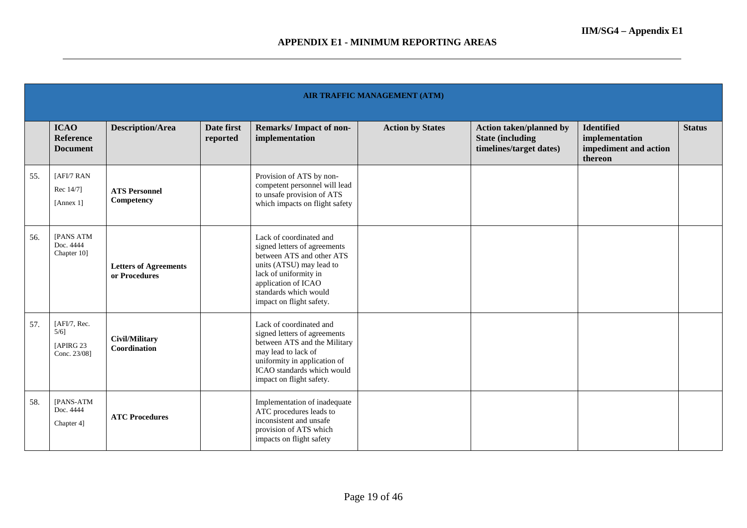|     | <b>AIR TRAFFIC MANAGEMENT (ATM)</b>                  |                                               |                        |                                                                                                                                                                                                                       |                         |                                                                                      |                                                                         |               |  |  |  |
|-----|------------------------------------------------------|-----------------------------------------------|------------------------|-----------------------------------------------------------------------------------------------------------------------------------------------------------------------------------------------------------------------|-------------------------|--------------------------------------------------------------------------------------|-------------------------------------------------------------------------|---------------|--|--|--|
|     | <b>ICAO</b><br><b>Reference</b><br><b>Document</b>   | <b>Description/Area</b>                       | Date first<br>reported | Remarks/Impact of non-<br>implementation                                                                                                                                                                              | <b>Action by States</b> | <b>Action taken/planned by</b><br><b>State (including</b><br>timelines/target dates) | <b>Identified</b><br>implementation<br>impediment and action<br>thereon | <b>Status</b> |  |  |  |
| 55. | [AFI/7 RAN<br>Rec 14/71<br>[Annex 1]                 | <b>ATS Personnel</b><br>Competency            |                        | Provision of ATS by non-<br>competent personnel will lead<br>to unsafe provision of ATS<br>which impacts on flight safety                                                                                             |                         |                                                                                      |                                                                         |               |  |  |  |
| 56. | [PANS ATM<br>Doc. 4444<br>Chapter 10]                | <b>Letters of Agreements</b><br>or Procedures |                        | Lack of coordinated and<br>signed letters of agreements<br>between ATS and other ATS<br>units (ATSU) may lead to<br>lack of uniformity in<br>application of ICAO<br>standards which would<br>impact on flight safety. |                         |                                                                                      |                                                                         |               |  |  |  |
| 57. | [AFI/7, Rec.<br>$5/6$ ]<br>[APIRG 23<br>Conc. 23/08] | <b>Civil/Military</b><br>Coordination         |                        | Lack of coordinated and<br>signed letters of agreements<br>between ATS and the Military<br>may lead to lack of<br>uniformity in application of<br>ICAO standards which would<br>impact on flight safety.              |                         |                                                                                      |                                                                         |               |  |  |  |
| 58. | [PANS-ATM<br>Doc. 4444<br>Chapter 4]                 | <b>ATC Procedures</b>                         |                        | Implementation of inadequate<br>ATC procedures leads to<br>inconsistent and unsafe<br>provision of ATS which<br>impacts on flight safety                                                                              |                         |                                                                                      |                                                                         |               |  |  |  |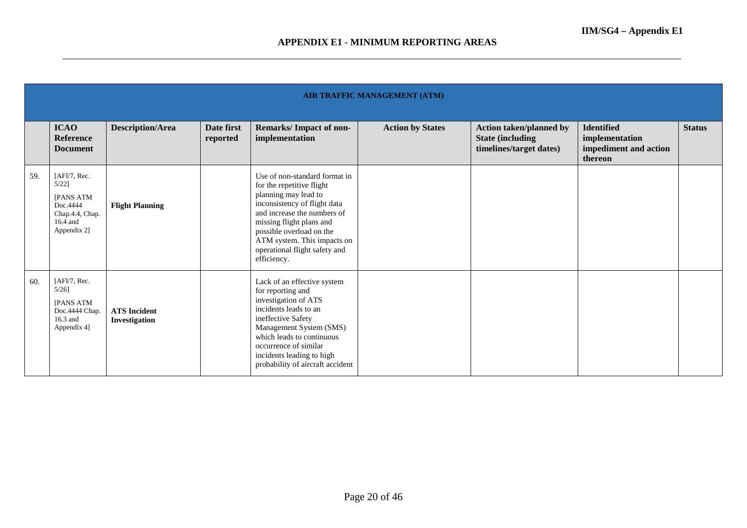|     | <b>AIR TRAFFIC MANAGEMENT (ATM)</b>                                                             |                                      |                        |                                                                                                                                                                                                                                                                                          |                         |                                                                                       |                                                                         |               |  |  |
|-----|-------------------------------------------------------------------------------------------------|--------------------------------------|------------------------|------------------------------------------------------------------------------------------------------------------------------------------------------------------------------------------------------------------------------------------------------------------------------------------|-------------------------|---------------------------------------------------------------------------------------|-------------------------------------------------------------------------|---------------|--|--|
|     | <b>ICAO</b><br>Reference<br><b>Document</b>                                                     | <b>Description/Area</b>              | Date first<br>reported | <b>Remarks/Impact of non-</b><br>implementation                                                                                                                                                                                                                                          | <b>Action by States</b> | <b>Action taken/planned by</b><br><b>State (including)</b><br>timelines/target dates) | <b>Identified</b><br>implementation<br>impediment and action<br>thereon | <b>Status</b> |  |  |
| 59. | [AFI/7, Rec.<br>$5/22$ ]<br>[PANS ATM<br>Doc.4444<br>Chap.4.4, Chap.<br>16.4 and<br>Appendix 2] | <b>Flight Planning</b>               |                        | Use of non-standard format in<br>for the repetitive flight<br>planning may lead to<br>inconsistency of flight data<br>and increase the numbers of<br>missing flight plans and<br>possible overload on the<br>ATM system. This impacts on<br>operational flight safety and<br>efficiency. |                         |                                                                                       |                                                                         |               |  |  |
| 60. | [AFI/7, Rec.<br>$5/26$ ]<br>[PANS ATM<br>Doc.4444 Chap.<br>16.3 and<br>Appendix 4]              | <b>ATS</b> Incident<br>Investigation |                        | Lack of an effective system<br>for reporting and<br>investigation of ATS<br>incidents leads to an<br>ineffective Safety<br>Management System (SMS)<br>which leads to continuous<br>occurrence of similar<br>incidents leading to high<br>probability of aircraft accident                |                         |                                                                                       |                                                                         |               |  |  |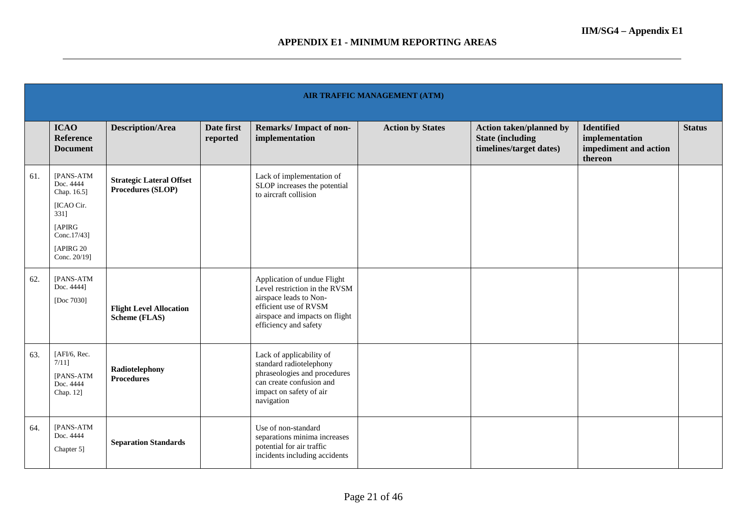|     | AIR TRAFFIC MANAGEMENT (ATM)                                                                                      |                                                      |                        |                                                                                                                                                                            |                         |                                                                                       |                                                                         |               |  |  |  |
|-----|-------------------------------------------------------------------------------------------------------------------|------------------------------------------------------|------------------------|----------------------------------------------------------------------------------------------------------------------------------------------------------------------------|-------------------------|---------------------------------------------------------------------------------------|-------------------------------------------------------------------------|---------------|--|--|--|
|     | <b>ICAO</b><br><b>Reference</b><br><b>Document</b>                                                                | <b>Description/Area</b>                              | Date first<br>reported | <b>Remarks/Impact of non-</b><br>implementation                                                                                                                            | <b>Action by States</b> | <b>Action taken/planned by</b><br><b>State (including)</b><br>timelines/target dates) | <b>Identified</b><br>implementation<br>impediment and action<br>thereon | <b>Status</b> |  |  |  |
| 61. | [PANS-ATM<br>Doc. 4444<br>Chap. 16.5]<br>[ICAO Cir.<br>331]<br>[APIRG<br>Conc.17/43]<br>[APIRG 20<br>Conc. 20/19] | <b>Strategic Lateral Offset</b><br>Procedures (SLOP) |                        | Lack of implementation of<br>SLOP increases the potential<br>to aircraft collision                                                                                         |                         |                                                                                       |                                                                         |               |  |  |  |
| 62. | [PANS-ATM<br>Doc. 4444]<br>[Doc 7030]                                                                             | <b>Flight Level Allocation</b><br>Scheme (FLAS)      |                        | Application of undue Flight<br>Level restriction in the RVSM<br>airspace leads to Non-<br>efficient use of RVSM<br>airspace and impacts on flight<br>efficiency and safety |                         |                                                                                       |                                                                         |               |  |  |  |
| 63. | [ $AFI/6$ , Rec.<br>7/111<br>[PANS-ATM<br>Doc. 4444<br>Chap. 12]                                                  | Radiotelephony<br><b>Procedures</b>                  |                        | Lack of applicability of<br>standard radiotelephony<br>phraseologies and procedures<br>can create confusion and<br>impact on safety of air<br>navigation                   |                         |                                                                                       |                                                                         |               |  |  |  |
| 64. | [PANS-ATM<br>Doc. 4444<br>Chapter 5]                                                                              | <b>Separation Standards</b>                          |                        | Use of non-standard<br>separations minima increases<br>potential for air traffic<br>incidents including accidents                                                          |                         |                                                                                       |                                                                         |               |  |  |  |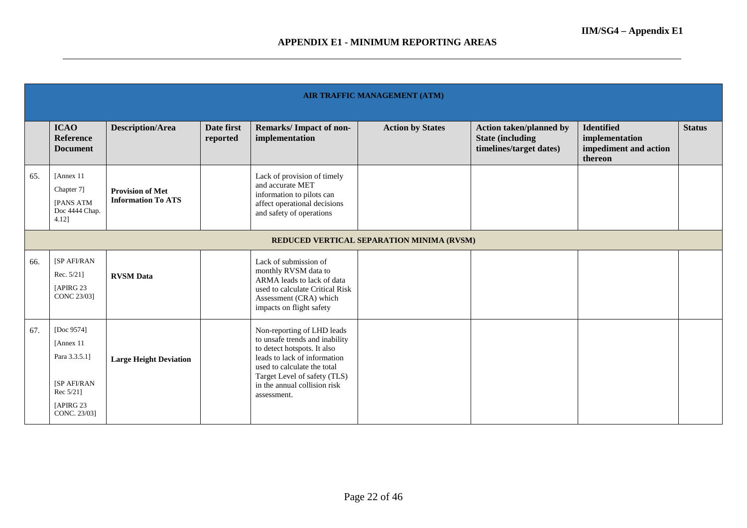|     | AIR TRAFFIC MANAGEMENT (ATM)                                                                        |                                                      |                        |                                                                                                                                                                                                                                           |                         |                                                                                       |                                                                         |               |  |  |  |
|-----|-----------------------------------------------------------------------------------------------------|------------------------------------------------------|------------------------|-------------------------------------------------------------------------------------------------------------------------------------------------------------------------------------------------------------------------------------------|-------------------------|---------------------------------------------------------------------------------------|-------------------------------------------------------------------------|---------------|--|--|--|
|     | <b>ICAO</b><br>Reference<br><b>Document</b>                                                         | <b>Description/Area</b>                              | Date first<br>reported | <b>Remarks/Impact of non-</b><br>implementation                                                                                                                                                                                           | <b>Action by States</b> | <b>Action taken/planned by</b><br><b>State (including)</b><br>timelines/target dates) | <b>Identified</b><br>implementation<br>impediment and action<br>thereon | <b>Status</b> |  |  |  |
| 65. | [Annex 11]<br>Chapter 7]<br>[PANS ATM<br>Doc 4444 Chap.<br>4.12]                                    | <b>Provision of Met</b><br><b>Information To ATS</b> |                        | Lack of provision of timely<br>and accurate MET<br>information to pilots can<br>affect operational decisions<br>and safety of operations                                                                                                  |                         |                                                                                       |                                                                         |               |  |  |  |
|     | REDUCED VERTICAL SEPARATION MINIMA (RVSM)                                                           |                                                      |                        |                                                                                                                                                                                                                                           |                         |                                                                                       |                                                                         |               |  |  |  |
| 66. | [SP AFI/RAN<br>Rec. 5/21]<br>[APIRG 23]<br>CONC 23/03]                                              | <b>RVSM</b> Data                                     |                        | Lack of submission of<br>monthly RVSM data to<br>ARMA leads to lack of data<br>used to calculate Critical Risk<br>Assessment (CRA) which<br>impacts on flight safety                                                                      |                         |                                                                                       |                                                                         |               |  |  |  |
| 67. | [Doc 9574]<br>[Annex 11]<br>Para 3.3.5.1]<br>[SP AFI/RAN<br>Rec 5/21]<br>[APIRG 23]<br>CONC. 23/03] | <b>Large Height Deviation</b>                        |                        | Non-reporting of LHD leads<br>to unsafe trends and inability<br>to detect hotspots. It also<br>leads to lack of information<br>used to calculate the total<br>Target Level of safety (TLS)<br>in the annual collision risk<br>assessment. |                         |                                                                                       |                                                                         |               |  |  |  |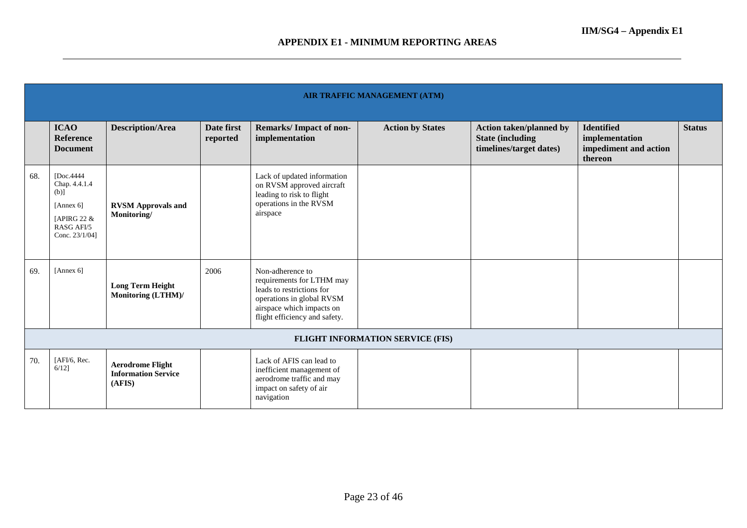|     | AIR TRAFFIC MANAGEMENT (ATM)                                                                          |                                                                 |                        |                                                                                                                                                                       |                                  |                                                                                       |                                                                         |               |  |  |  |
|-----|-------------------------------------------------------------------------------------------------------|-----------------------------------------------------------------|------------------------|-----------------------------------------------------------------------------------------------------------------------------------------------------------------------|----------------------------------|---------------------------------------------------------------------------------------|-------------------------------------------------------------------------|---------------|--|--|--|
|     | <b>ICAO</b><br><b>Reference</b><br><b>Document</b>                                                    | <b>Description/Area</b>                                         | Date first<br>reported | <b>Remarks/Impact of non-</b><br>implementation                                                                                                                       | <b>Action by States</b>          | <b>Action taken/planned by</b><br><b>State (including)</b><br>timelines/target dates) | <b>Identified</b><br>implementation<br>impediment and action<br>thereon | <b>Status</b> |  |  |  |
| 68. | [Doc.4444]<br>Chap. 4.4.1.4<br>$(b)$ ]<br>[Annex $6$ ]<br>[APIRG 22 &<br>RASG AFI/5<br>Conc. 23/1/04] | <b>RVSM Approvals and</b><br>Monitoring/                        |                        | Lack of updated information<br>on RVSM approved aircraft<br>leading to risk to flight<br>operations in the RVSM<br>airspace                                           |                                  |                                                                                       |                                                                         |               |  |  |  |
| 69. | [Annex 6]                                                                                             | <b>Long Term Height</b><br>Monitoring (LTHM)/                   | 2006                   | Non-adherence to<br>requirements for LTHM may<br>leads to restrictions for<br>operations in global RVSM<br>airspace which impacts on<br>flight efficiency and safety. |                                  |                                                                                       |                                                                         |               |  |  |  |
|     |                                                                                                       |                                                                 |                        |                                                                                                                                                                       | FLIGHT INFORMATION SERVICE (FIS) |                                                                                       |                                                                         |               |  |  |  |
| 70. | [AFI/6, Rec.<br>$6/12$ ]                                                                              | <b>Aerodrome Flight</b><br><b>Information Service</b><br>(AFIS) |                        | Lack of AFIS can lead to<br>inefficient management of<br>aerodrome traffic and may<br>impact on safety of air<br>navigation                                           |                                  |                                                                                       |                                                                         |               |  |  |  |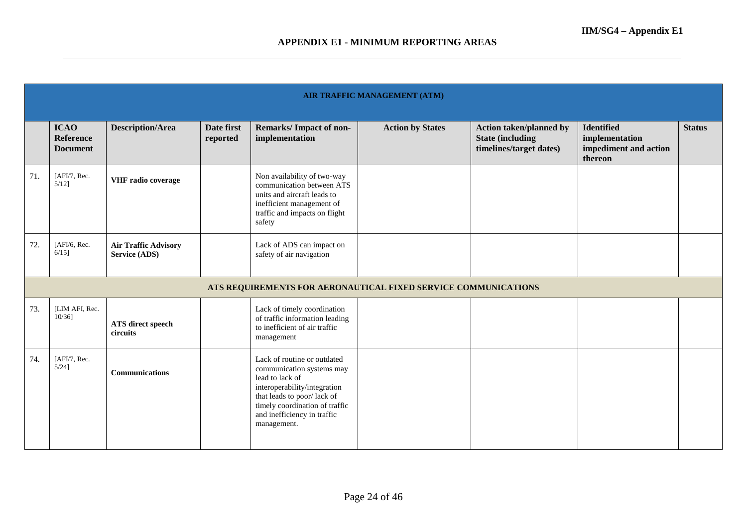|     | <b>AIR TRAFFIC MANAGEMENT (ATM)</b>                |                                              |                        |                                                                                                                                                                                                                           |                                                                |                                                                                       |                                                                         |               |  |  |  |
|-----|----------------------------------------------------|----------------------------------------------|------------------------|---------------------------------------------------------------------------------------------------------------------------------------------------------------------------------------------------------------------------|----------------------------------------------------------------|---------------------------------------------------------------------------------------|-------------------------------------------------------------------------|---------------|--|--|--|
|     | <b>ICAO</b><br><b>Reference</b><br><b>Document</b> | <b>Description/Area</b>                      | Date first<br>reported | <b>Remarks/Impact of non-</b><br>implementation                                                                                                                                                                           | <b>Action by States</b>                                        | <b>Action taken/planned by</b><br><b>State (including)</b><br>timelines/target dates) | <b>Identified</b><br>implementation<br>impediment and action<br>thereon | <b>Status</b> |  |  |  |
| 71. | [AFI/7, Rec.<br>$5/12$ ]                           | VHF radio coverage                           |                        | Non availability of two-way<br>communication between ATS<br>units and aircraft leads to<br>inefficient management of<br>traffic and impacts on flight<br>safety                                                           |                                                                |                                                                                       |                                                                         |               |  |  |  |
| 72. | [AFI/6, Rec.<br>$6/15$ ]                           | <b>Air Traffic Advisory</b><br>Service (ADS) |                        | Lack of ADS can impact on<br>safety of air navigation                                                                                                                                                                     |                                                                |                                                                                       |                                                                         |               |  |  |  |
|     |                                                    |                                              |                        |                                                                                                                                                                                                                           | ATS REQUIREMENTS FOR AERONAUTICAL FIXED SERVICE COMMUNICATIONS |                                                                                       |                                                                         |               |  |  |  |
| 73. | [LIM AFI, Rec.<br>$10/36$ ]                        | ATS direct speech<br>circuits                |                        | Lack of timely coordination<br>of traffic information leading<br>to inefficient of air traffic<br>management                                                                                                              |                                                                |                                                                                       |                                                                         |               |  |  |  |
| 74. | [AFI/7, Rec.<br>$5/24$ ]                           | <b>Communications</b>                        |                        | Lack of routine or outdated<br>communication systems may<br>lead to lack of<br>interoperability/integration<br>that leads to poor/lack of<br>timely coordination of traffic<br>and inefficiency in traffic<br>management. |                                                                |                                                                                       |                                                                         |               |  |  |  |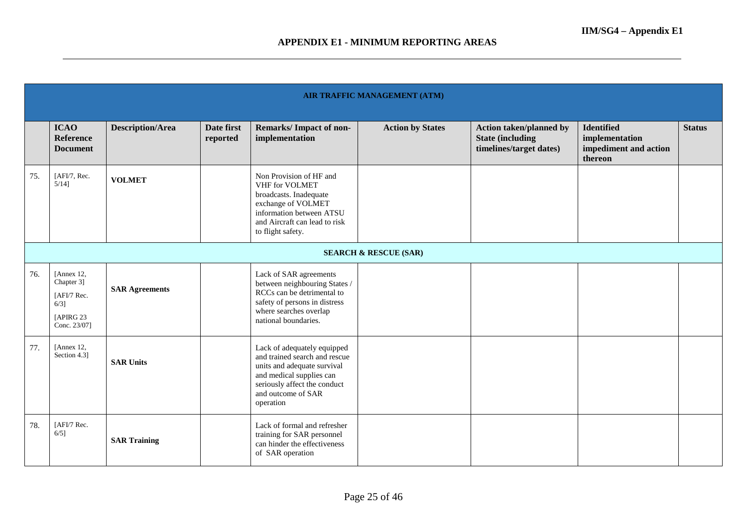|     | <b>AIR TRAFFIC MANAGEMENT (ATM)</b>                                              |                         |                        |                                                                                                                                                                                            |                         |                                                                                      |                                                                         |               |  |  |  |  |
|-----|----------------------------------------------------------------------------------|-------------------------|------------------------|--------------------------------------------------------------------------------------------------------------------------------------------------------------------------------------------|-------------------------|--------------------------------------------------------------------------------------|-------------------------------------------------------------------------|---------------|--|--|--|--|
|     | <b>ICAO</b><br>Reference<br><b>Document</b>                                      | <b>Description/Area</b> | Date first<br>reported | <b>Remarks/Impact of non-</b><br>implementation                                                                                                                                            | <b>Action by States</b> | <b>Action taken/planned by</b><br><b>State (including</b><br>timelines/target dates) | <b>Identified</b><br>implementation<br>impediment and action<br>thereon | <b>Status</b> |  |  |  |  |
| 75. | [AFI/7, Rec.<br>$5/14$ ]                                                         | <b>VOLMET</b>           |                        | Non Provision of HF and<br>VHF for VOLMET<br>broadcasts. Inadequate<br>exchange of VOLMET<br>information between ATSU<br>and Aircraft can lead to risk<br>to flight safety.                |                         |                                                                                      |                                                                         |               |  |  |  |  |
|     | <b>SEARCH &amp; RESCUE (SAR)</b>                                                 |                         |                        |                                                                                                                                                                                            |                         |                                                                                      |                                                                         |               |  |  |  |  |
| 76. | [Annex 12,<br>Chapter 3]<br>[AFI/7 Rec.<br>$6/3$ ]<br>[APIRG 23]<br>Conc. 23/07] | <b>SAR Agreements</b>   |                        | Lack of SAR agreements<br>between neighbouring States /<br>RCCs can be detrimental to<br>safety of persons in distress<br>where searches overlap<br>national boundaries.                   |                         |                                                                                      |                                                                         |               |  |  |  |  |
| 77. | [Annex 12,<br>Section 4.3]                                                       | <b>SAR Units</b>        |                        | Lack of adequately equipped<br>and trained search and rescue<br>units and adequate survival<br>and medical supplies can<br>seriously affect the conduct<br>and outcome of SAR<br>operation |                         |                                                                                      |                                                                         |               |  |  |  |  |
| 78. | [AFI/7 Rec.<br>6/51                                                              | <b>SAR Training</b>     |                        | Lack of formal and refresher<br>training for SAR personnel<br>can hinder the effectiveness<br>of SAR operation                                                                             |                         |                                                                                      |                                                                         |               |  |  |  |  |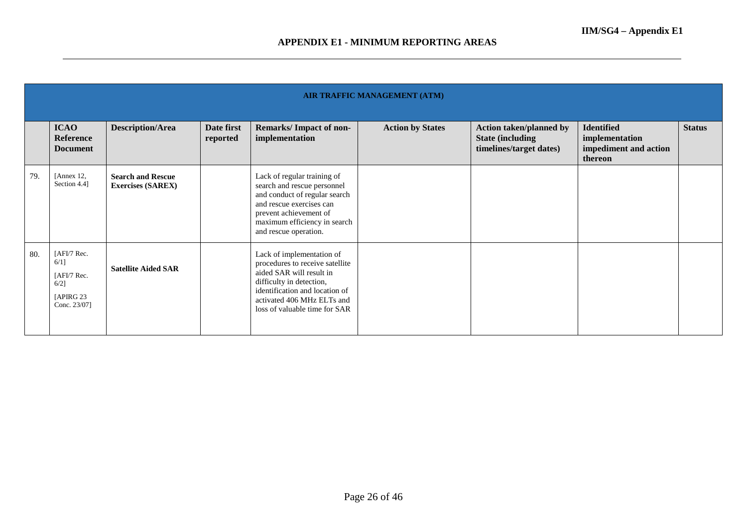|     | AIR TRAFFIC MANAGEMENT (ATM)                                                   |                                                      |                        |                                                                                                                                                                                                                       |                         |                                                                                       |                                                                         |               |  |  |  |
|-----|--------------------------------------------------------------------------------|------------------------------------------------------|------------------------|-----------------------------------------------------------------------------------------------------------------------------------------------------------------------------------------------------------------------|-------------------------|---------------------------------------------------------------------------------------|-------------------------------------------------------------------------|---------------|--|--|--|
|     | <b>ICAO</b><br>Reference<br><b>Document</b>                                    | <b>Description/Area</b>                              | Date first<br>reported | <b>Remarks/Impact of non-</b><br>implementation                                                                                                                                                                       | <b>Action by States</b> | <b>Action taken/planned by</b><br><b>State (including)</b><br>timelines/target dates) | <b>Identified</b><br>implementation<br>impediment and action<br>thereon | <b>Status</b> |  |  |  |
| 79. | [Annex $12$ ,<br>Section 4.4]                                                  | <b>Search and Rescue</b><br><b>Exercises (SAREX)</b> |                        | Lack of regular training of<br>search and rescue personnel<br>and conduct of regular search<br>and rescue exercises can<br>prevent achievement of<br>maximum efficiency in search<br>and rescue operation.            |                         |                                                                                       |                                                                         |               |  |  |  |
| 80. | [AFI/7 Rec.<br>$6/1$ ]<br>[AFI/7 Rec.<br>$6/2$ ]<br>[APIRG 23]<br>Conc. 23/07] | <b>Satellite Aided SAR</b>                           |                        | Lack of implementation of<br>procedures to receive satellite<br>aided SAR will result in<br>difficulty in detection,<br>identification and location of<br>activated 406 MHz ELTs and<br>loss of valuable time for SAR |                         |                                                                                       |                                                                         |               |  |  |  |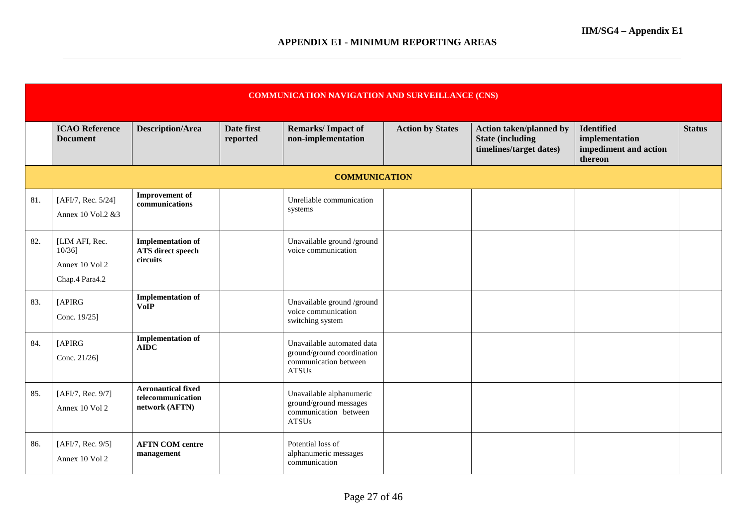|     | <b>COMMUNICATION NAVIGATION AND SURVEILLANCE (CNS)</b>          |                                                                  |                        |                                                                                                   |                         |                                                                                       |                                                                         |               |  |  |
|-----|-----------------------------------------------------------------|------------------------------------------------------------------|------------------------|---------------------------------------------------------------------------------------------------|-------------------------|---------------------------------------------------------------------------------------|-------------------------------------------------------------------------|---------------|--|--|
|     | <b>ICAO Reference</b><br><b>Document</b>                        | <b>Description/Area</b>                                          | Date first<br>reported | <b>Remarks/Impact of</b><br>non-implementation                                                    | <b>Action by States</b> | <b>Action taken/planned by</b><br><b>State (including)</b><br>timelines/target dates) | <b>Identified</b><br>implementation<br>impediment and action<br>thereon | <b>Status</b> |  |  |
|     | <b>COMMUNICATION</b>                                            |                                                                  |                        |                                                                                                   |                         |                                                                                       |                                                                         |               |  |  |
| 81. | [AFI/7, Rec. 5/24]<br>Annex 10 Vol.2 &3                         | <b>Improvement</b> of<br>communications                          |                        | Unreliable communication<br>systems                                                               |                         |                                                                                       |                                                                         |               |  |  |
| 82. | [LIM AFI, Rec.<br>$10/36$ ]<br>Annex 10 Vol 2<br>Chap.4 Para4.2 | <b>Implementation of</b><br>ATS direct speech<br>circuits        |                        | Unavailable ground /ground<br>voice communication                                                 |                         |                                                                                       |                                                                         |               |  |  |
| 83. | [APIRG<br>Conc. 19/25]                                          | <b>Implementation of</b><br><b>VoIP</b>                          |                        | Unavailable ground /ground<br>voice communication<br>switching system                             |                         |                                                                                       |                                                                         |               |  |  |
| 84. | [APIRG<br>Conc. 21/26]                                          | <b>Implementation of</b><br><b>AIDC</b>                          |                        | Unavailable automated data<br>ground/ground coordination<br>communication between<br><b>ATSUs</b> |                         |                                                                                       |                                                                         |               |  |  |
| 85. | [AFI/7, Rec. 9/7]<br>Annex 10 Vol 2                             | <b>Aeronautical fixed</b><br>telecommunication<br>network (AFTN) |                        | Unavailable alphanumeric<br>ground/ground messages<br>communication between<br><b>ATSUs</b>       |                         |                                                                                       |                                                                         |               |  |  |
| 86. | [AFI/7, Rec. 9/5]<br>Annex 10 Vol 2                             | <b>AFTN COM centre</b><br>management                             |                        | Potential loss of<br>alphanumeric messages<br>communication                                       |                         |                                                                                       |                                                                         |               |  |  |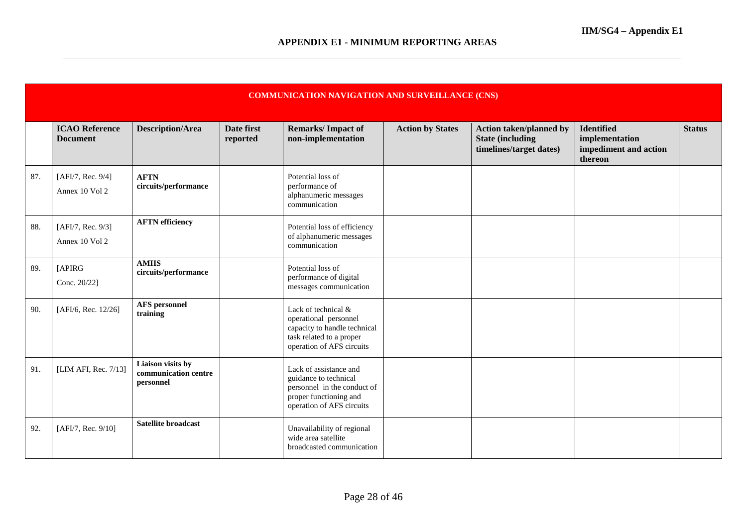|     | <b>COMMUNICATION NAVIGATION AND SURVEILLANCE (CNS)</b> |                                                        |                        |                                                                                                                                       |                         |                                                                                       |                                                                         |               |  |  |
|-----|--------------------------------------------------------|--------------------------------------------------------|------------------------|---------------------------------------------------------------------------------------------------------------------------------------|-------------------------|---------------------------------------------------------------------------------------|-------------------------------------------------------------------------|---------------|--|--|
|     | <b>ICAO Reference</b><br><b>Document</b>               | <b>Description/Area</b>                                | Date first<br>reported | <b>Remarks/Impact of</b><br>non-implementation                                                                                        | <b>Action by States</b> | <b>Action taken/planned by</b><br><b>State (including)</b><br>timelines/target dates) | <b>Identified</b><br>implementation<br>impediment and action<br>thereon | <b>Status</b> |  |  |
| 87. | [AFI/7, Rec. 9/4]<br>Annex 10 Vol 2                    | <b>AFTN</b><br>circuits/performance                    |                        | Potential loss of<br>performance of<br>alphanumeric messages<br>communication                                                         |                         |                                                                                       |                                                                         |               |  |  |
| 88. | [AFI/7, Rec. 9/3]<br>Annex 10 Vol 2                    | <b>AFTN</b> efficiency                                 |                        | Potential loss of efficiency<br>of alphanumeric messages<br>communication                                                             |                         |                                                                                       |                                                                         |               |  |  |
| 89. | [APIRG<br>Conc. 20/22]                                 | <b>AMHS</b><br>circuits/performance                    |                        | Potential loss of<br>performance of digital<br>messages communication                                                                 |                         |                                                                                       |                                                                         |               |  |  |
| 90. | [AFI/6, Rec. 12/26]                                    | <b>AFS</b> personnel<br>training                       |                        | Lack of technical &<br>operational personnel<br>capacity to handle technical<br>task related to a proper<br>operation of AFS circuits |                         |                                                                                       |                                                                         |               |  |  |
| 91. | [LIM AFI, Rec. 7/13]                                   | Liaison visits by<br>communication centre<br>personnel |                        | Lack of assistance and<br>guidance to technical<br>personnel in the conduct of<br>proper functioning and<br>operation of AFS circuits |                         |                                                                                       |                                                                         |               |  |  |
| 92. | [AFI/7, Rec. 9/10]                                     | <b>Satellite broadcast</b>                             |                        | Unavailability of regional<br>wide area satellite<br>broadcasted communication                                                        |                         |                                                                                       |                                                                         |               |  |  |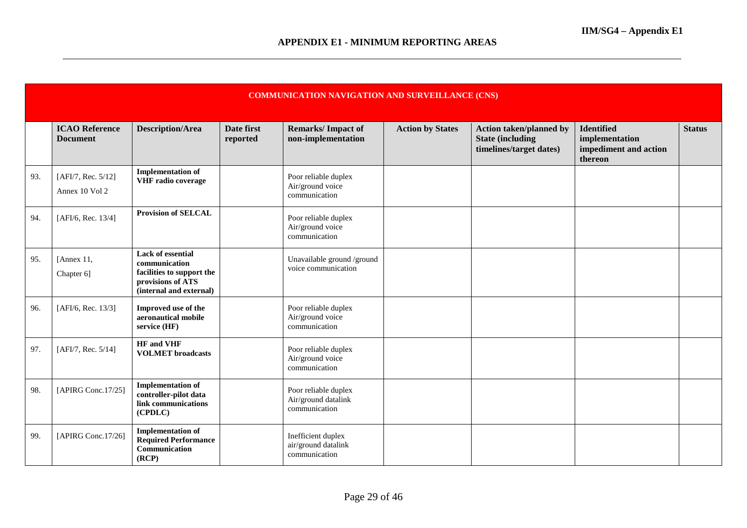|     | <b>COMMUNICATION NAVIGATION AND SURVEILLANCE (CNS)</b> |                                                                                                                        |                        |                                                              |                         |                                                                                       |                                                                         |               |  |  |  |
|-----|--------------------------------------------------------|------------------------------------------------------------------------------------------------------------------------|------------------------|--------------------------------------------------------------|-------------------------|---------------------------------------------------------------------------------------|-------------------------------------------------------------------------|---------------|--|--|--|
|     | <b>ICAO Reference</b><br><b>Document</b>               | <b>Description/Area</b>                                                                                                | Date first<br>reported | <b>Remarks/Impact of</b><br>non-implementation               | <b>Action by States</b> | <b>Action taken/planned by</b><br><b>State (including)</b><br>timelines/target dates) | <b>Identified</b><br>implementation<br>impediment and action<br>thereon | <b>Status</b> |  |  |  |
| 93. | [AFI/7, Rec. 5/12]<br>Annex 10 Vol 2                   | <b>Implementation of</b><br><b>VHF</b> radio coverage                                                                  |                        | Poor reliable duplex<br>Air/ground voice<br>communication    |                         |                                                                                       |                                                                         |               |  |  |  |
| 94. | [AFI/6, Rec. 13/4]                                     | <b>Provision of SELCAL</b>                                                                                             |                        | Poor reliable duplex<br>Air/ground voice<br>communication    |                         |                                                                                       |                                                                         |               |  |  |  |
| 95. | [Annex 11,<br>Chapter 6]                               | <b>Lack of essential</b><br>communication<br>facilities to support the<br>provisions of ATS<br>(internal and external) |                        | Unavailable ground /ground<br>voice communication            |                         |                                                                                       |                                                                         |               |  |  |  |
| 96. | [AFI/6, Rec. 13/3]                                     | Improved use of the<br>aeronautical mobile<br>service (HF)                                                             |                        | Poor reliable duplex<br>Air/ground voice<br>communication    |                         |                                                                                       |                                                                         |               |  |  |  |
| 97. | [AFI/7, Rec. 5/14]                                     | <b>HF</b> and VHF<br><b>VOLMET</b> broadcasts                                                                          |                        | Poor reliable duplex<br>Air/ground voice<br>communication    |                         |                                                                                       |                                                                         |               |  |  |  |
| 98. | [APIRG Conc.17/25]                                     | <b>Implementation of</b><br>controller-pilot data<br>link communications<br>(CPDLC)                                    |                        | Poor reliable duplex<br>Air/ground datalink<br>communication |                         |                                                                                       |                                                                         |               |  |  |  |
| 99. | [APIRG Conc.17/26]                                     | <b>Implementation of</b><br><b>Required Performance</b><br>Communication<br>(RCP)                                      |                        | Inefficient duplex<br>air/ground datalink<br>communication   |                         |                                                                                       |                                                                         |               |  |  |  |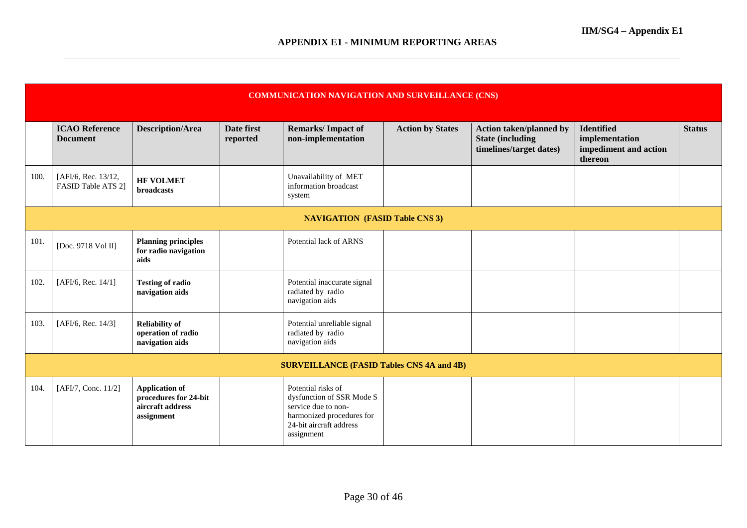|      | <b>COMMUNICATION NAVIGATION AND SURVEILLANCE (CNS)</b> |                                                                                  |                        |                                                                                                                                              |                         |                                                                                      |                                                                         |               |  |  |
|------|--------------------------------------------------------|----------------------------------------------------------------------------------|------------------------|----------------------------------------------------------------------------------------------------------------------------------------------|-------------------------|--------------------------------------------------------------------------------------|-------------------------------------------------------------------------|---------------|--|--|
|      | <b>ICAO Reference</b><br><b>Document</b>               | <b>Description/Area</b>                                                          | Date first<br>reported | <b>Remarks/Impact of</b><br>non-implementation                                                                                               | <b>Action by States</b> | <b>Action taken/planned by</b><br><b>State (including</b><br>timelines/target dates) | <b>Identified</b><br>implementation<br>impediment and action<br>thereon | <b>Status</b> |  |  |
| 100. | [AFI/6, Rec. 13/12,<br>FASID Table ATS 2]              | <b>HF VOLMET</b><br>broadcasts                                                   |                        | Unavailability of MET<br>information broadcast<br>system                                                                                     |                         |                                                                                      |                                                                         |               |  |  |
|      | <b>NAVIGATION (FASID Table CNS 3)</b>                  |                                                                                  |                        |                                                                                                                                              |                         |                                                                                      |                                                                         |               |  |  |
| 101. | [Doc. 9718 Vol II]                                     | <b>Planning principles</b><br>for radio navigation<br>aids                       |                        | Potential lack of ARNS                                                                                                                       |                         |                                                                                      |                                                                         |               |  |  |
| 102. | [AFI/6, Rec. 14/1]                                     | <b>Testing of radio</b><br>navigation aids                                       |                        | Potential inaccurate signal<br>radiated by radio<br>navigation aids                                                                          |                         |                                                                                      |                                                                         |               |  |  |
| 103. | [AFI/6, Rec. 14/3]                                     | <b>Reliability of</b><br>operation of radio<br>navigation aids                   |                        | Potential unreliable signal<br>radiated by radio<br>navigation aids                                                                          |                         |                                                                                      |                                                                         |               |  |  |
|      |                                                        |                                                                                  |                        | <b>SURVEILLANCE (FASID Tables CNS 4A and 4B)</b>                                                                                             |                         |                                                                                      |                                                                         |               |  |  |
| 104. | [AFI/7, Conc. 11/2]                                    | <b>Application of</b><br>procedures for 24-bit<br>aircraft address<br>assignment |                        | Potential risks of<br>dysfunction of SSR Mode S<br>service due to non-<br>harmonized procedures for<br>24-bit aircraft address<br>assignment |                         |                                                                                      |                                                                         |               |  |  |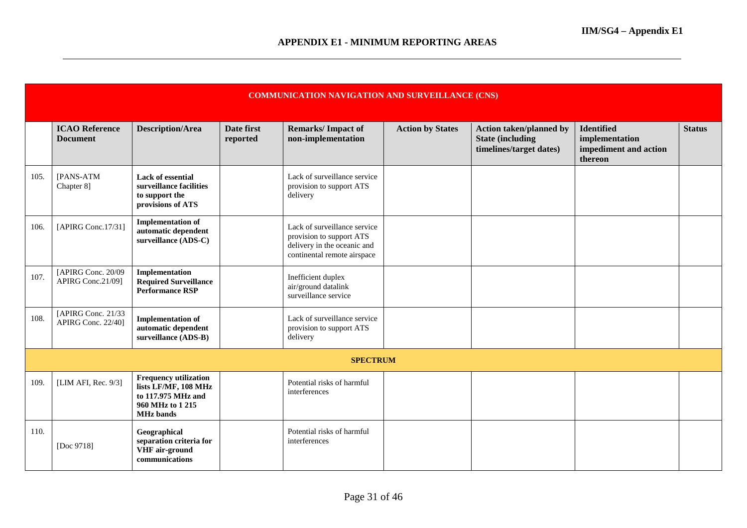|      | <b>COMMUNICATION NAVIGATION AND SURVEILLANCE (CNS)</b> |                                                                                                                    |                        |                                                                                                                        |                         |                                                                                       |                                                                         |               |  |
|------|--------------------------------------------------------|--------------------------------------------------------------------------------------------------------------------|------------------------|------------------------------------------------------------------------------------------------------------------------|-------------------------|---------------------------------------------------------------------------------------|-------------------------------------------------------------------------|---------------|--|
|      | <b>ICAO Reference</b><br><b>Document</b>               | <b>Description/Area</b>                                                                                            | Date first<br>reported | <b>Remarks/Impact of</b><br>non-implementation                                                                         | <b>Action by States</b> | <b>Action taken/planned by</b><br><b>State (including)</b><br>timelines/target dates) | <b>Identified</b><br>implementation<br>impediment and action<br>thereon | <b>Status</b> |  |
| 105. | [PANS-ATM<br>Chapter 8]                                | Lack of essential<br>surveillance facilities<br>to support the<br>provisions of ATS                                |                        | Lack of surveillance service<br>provision to support ATS<br>delivery                                                   |                         |                                                                                       |                                                                         |               |  |
| 106. | [APIRG Conc.17/31]                                     | <b>Implementation of</b><br>automatic dependent<br>surveillance (ADS-C)                                            |                        | Lack of surveillance service<br>provision to support ATS<br>delivery in the oceanic and<br>continental remote airspace |                         |                                                                                       |                                                                         |               |  |
| 107. | [APIRG Conc. 20/09<br>APIRG Conc.21/09]                | Implementation<br><b>Required Surveillance</b><br><b>Performance RSP</b>                                           |                        | Inefficient duplex<br>air/ground datalink<br>surveillance service                                                      |                         |                                                                                       |                                                                         |               |  |
| 108. | [APIRG Conc. 21/33]<br>APIRG Conc. 22/40]              | <b>Implementation of</b><br>automatic dependent<br>surveillance (ADS-B)                                            |                        | Lack of surveillance service<br>provision to support ATS<br>delivery                                                   |                         |                                                                                       |                                                                         |               |  |
|      |                                                        |                                                                                                                    |                        | <b>SPECTRUM</b>                                                                                                        |                         |                                                                                       |                                                                         |               |  |
| 109. | [LIM AFI, Rec. 9/3]                                    | <b>Frequency utilization</b><br>lists LF/MF, 108 MHz<br>to 117.975 MHz and<br>960 MHz to 1 215<br><b>MHz</b> bands |                        | Potential risks of harmful<br>interferences                                                                            |                         |                                                                                       |                                                                         |               |  |
| 110. | [Doc 9718]                                             | Geographical<br>separation criteria for<br>VHF air-ground<br>communications                                        |                        | Potential risks of harmful<br>interferences                                                                            |                         |                                                                                       |                                                                         |               |  |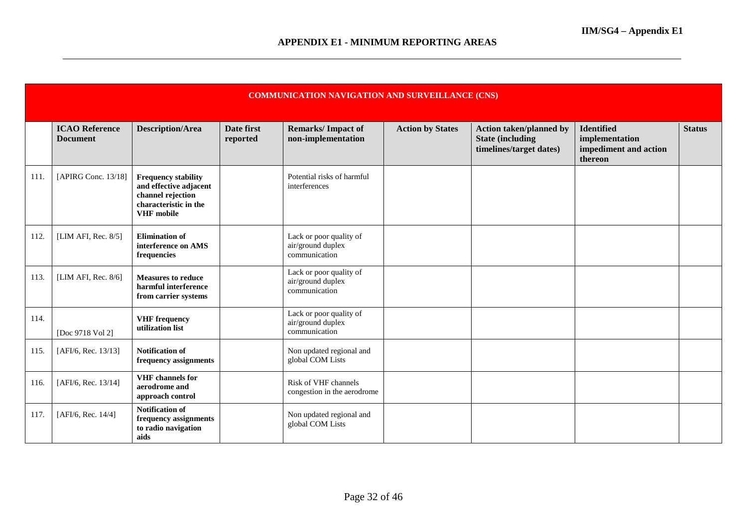|      | <b>COMMUNICATION NAVIGATION AND SURVEILLANCE (CNS)</b> |                                                                                                                         |                        |                                                               |                         |                                                                                      |                                                                         |               |  |  |
|------|--------------------------------------------------------|-------------------------------------------------------------------------------------------------------------------------|------------------------|---------------------------------------------------------------|-------------------------|--------------------------------------------------------------------------------------|-------------------------------------------------------------------------|---------------|--|--|
|      | <b>ICAO Reference</b><br><b>Document</b>               | <b>Description/Area</b>                                                                                                 | Date first<br>reported | <b>Remarks/Impact of</b><br>non-implementation                | <b>Action by States</b> | <b>Action taken/planned by</b><br><b>State (including</b><br>timelines/target dates) | <b>Identified</b><br>implementation<br>impediment and action<br>thereon | <b>Status</b> |  |  |
| 111  | [APIRG Conc. 13/18]                                    | <b>Frequency stability</b><br>and effective adjacent<br>channel rejection<br>characteristic in the<br><b>VHF</b> mobile |                        | Potential risks of harmful<br>interferences                   |                         |                                                                                      |                                                                         |               |  |  |
| 112. | [LIM AFI, Rec. $8/5$ ]                                 | <b>Elimination of</b><br>interference on AMS<br>frequencies                                                             |                        | Lack or poor quality of<br>air/ground duplex<br>communication |                         |                                                                                      |                                                                         |               |  |  |
| 113. | [LIM AFI, Rec. $8/6$ ]                                 | <b>Measures to reduce</b><br>harmful interference<br>from carrier systems                                               |                        | Lack or poor quality of<br>air/ground duplex<br>communication |                         |                                                                                      |                                                                         |               |  |  |
| 114. | [Doc 9718 Vol 2]                                       | <b>VHF</b> frequency<br>utilization list                                                                                |                        | Lack or poor quality of<br>air/ground duplex<br>communication |                         |                                                                                      |                                                                         |               |  |  |
| 115. | [AFI/6, Rec. $13/13$ ]                                 | <b>Notification of</b><br>frequency assignments                                                                         |                        | Non updated regional and<br>global COM Lists                  |                         |                                                                                      |                                                                         |               |  |  |
| 116. | [AFI/6, Rec. 13/14]                                    | <b>VHF</b> channels for<br>aerodrome and<br>approach control                                                            |                        | Risk of VHF channels<br>congestion in the aerodrome           |                         |                                                                                      |                                                                         |               |  |  |
| 117. | [AFI/6, Rec. 14/4]                                     | <b>Notification of</b><br>frequency assignments<br>to radio navigation<br>aids                                          |                        | Non updated regional and<br>global COM Lists                  |                         |                                                                                      |                                                                         |               |  |  |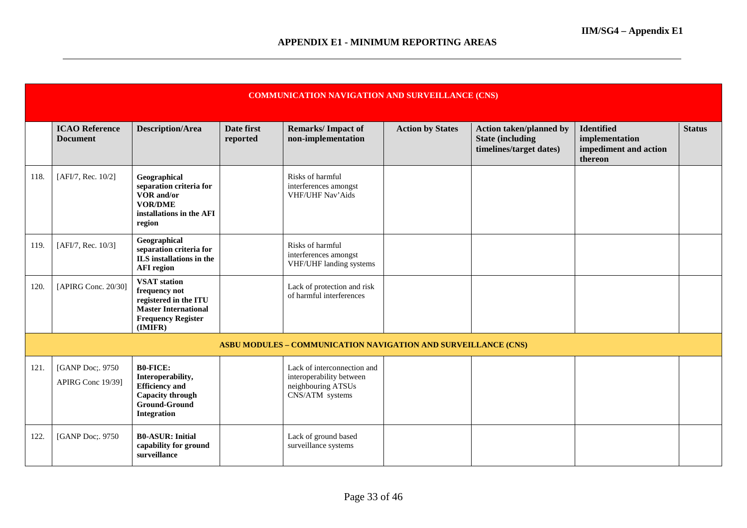|      | <b>COMMUNICATION NAVIGATION AND SURVEILLANCE (CNS)</b> |                                                                                                                                      |                        |                                                                                                  |                         |                                                                                       |                                                                         |               |  |  |
|------|--------------------------------------------------------|--------------------------------------------------------------------------------------------------------------------------------------|------------------------|--------------------------------------------------------------------------------------------------|-------------------------|---------------------------------------------------------------------------------------|-------------------------------------------------------------------------|---------------|--|--|
|      | <b>ICAO Reference</b><br><b>Document</b>               | <b>Description/Area</b>                                                                                                              | Date first<br>reported | <b>Remarks/Impact of</b><br>non-implementation                                                   | <b>Action by States</b> | <b>Action taken/planned by</b><br><b>State (including)</b><br>timelines/target dates) | <b>Identified</b><br>implementation<br>impediment and action<br>thereon | <b>Status</b> |  |  |
| 118. | [AFI/7, Rec. 10/2]                                     | Geographical<br>separation criteria for<br>VOR and/or<br><b>VOR/DME</b><br>installations in the AFI<br>region                        |                        | Risks of harmful<br>interferences amongst<br><b>VHF/UHF Nav'Aids</b>                             |                         |                                                                                       |                                                                         |               |  |  |
| 119. | [AFI/7, Rec. 10/3]                                     | Geographical<br>separation criteria for<br>ILS installations in the<br><b>AFI</b> region                                             |                        | Risks of harmful<br>interferences amongst<br>VHF/UHF landing systems                             |                         |                                                                                       |                                                                         |               |  |  |
| 120. | [APIRG Conc. 20/30]                                    | <b>VSAT</b> station<br>frequency not<br>registered in the ITU<br><b>Master International</b><br><b>Frequency Register</b><br>(IMIFR) |                        | Lack of protection and risk<br>of harmful interferences                                          |                         |                                                                                       |                                                                         |               |  |  |
|      |                                                        |                                                                                                                                      |                        | <b>ASBU MODULES - COMMUNICATION NAVIGATION AND SURVEILLANCE (CNS)</b>                            |                         |                                                                                       |                                                                         |               |  |  |
| 121. | [GANP Doc;. 9750<br>APIRG Conc 19/39]                  | <b>B0-FICE:</b><br>Interoperability,<br><b>Efficiency</b> and<br><b>Capacity through</b><br><b>Ground-Ground</b><br>Integration      |                        | Lack of interconnection and<br>interoperability between<br>neighbouring ATSUs<br>CNS/ATM systems |                         |                                                                                       |                                                                         |               |  |  |
| 122. | [GANP Doc;. 9750                                       | <b>B0-ASUR: Initial</b><br>capability for ground<br>surveillance                                                                     |                        | Lack of ground based<br>surveillance systems                                                     |                         |                                                                                       |                                                                         |               |  |  |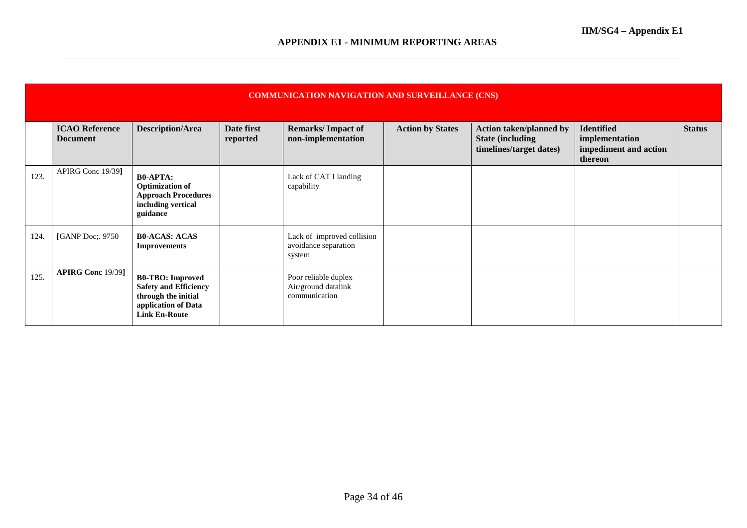|      | <b>COMMUNICATION NAVIGATION AND SURVEILLANCE (CNS)</b> |                                                                                                                               |                        |                                                              |                         |                                                                                       |                                                                         |               |  |  |  |
|------|--------------------------------------------------------|-------------------------------------------------------------------------------------------------------------------------------|------------------------|--------------------------------------------------------------|-------------------------|---------------------------------------------------------------------------------------|-------------------------------------------------------------------------|---------------|--|--|--|
|      | <b>ICAO Reference</b><br><b>Document</b>               | <b>Description/Area</b>                                                                                                       | Date first<br>reported | <b>Remarks/Impact of</b><br>non-implementation               | <b>Action by States</b> | <b>Action taken/planned by</b><br><b>State (including)</b><br>timelines/target dates) | <b>Identified</b><br>implementation<br>impediment and action<br>thereon | <b>Status</b> |  |  |  |
| 123. | APIRG Conc 19/39]                                      | <b>B0-APTA:</b><br><b>Optimization of</b><br><b>Approach Procedures</b><br>including vertical<br>guidance                     |                        | Lack of CAT I landing<br>capability                          |                         |                                                                                       |                                                                         |               |  |  |  |
| 124. | [GANP Doc;. 9750]                                      | <b>B0-ACAS: ACAS</b><br><b>Improvements</b>                                                                                   |                        | Lack of improved collision<br>avoidance separation<br>system |                         |                                                                                       |                                                                         |               |  |  |  |
| 125. | <b>APIRG Conc</b> 19/39]                               | <b>B0-TBO:</b> Improved<br><b>Safety and Efficiency</b><br>through the initial<br>application of Data<br><b>Link En-Route</b> |                        | Poor reliable duplex<br>Air/ground datalink<br>communication |                         |                                                                                       |                                                                         |               |  |  |  |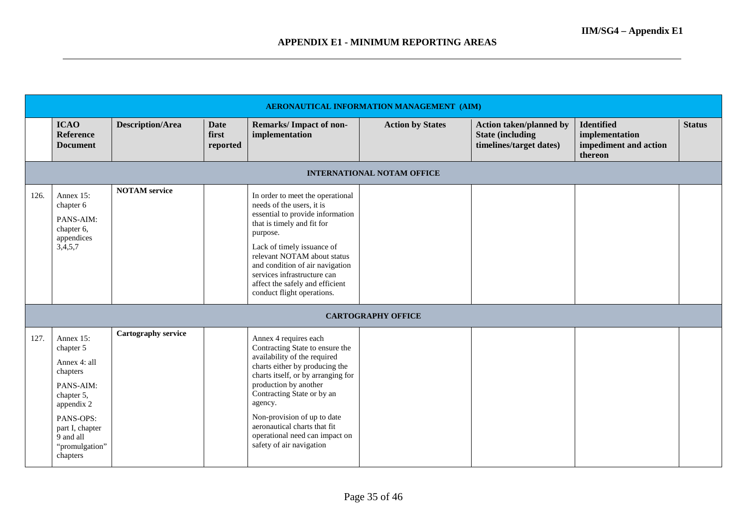|      | AERONAUTICAL INFORMATION MANAGEMENT (AIM)                                                                                                                              |                            |                                  |                                                                                                                                                                                                                                                                                                                                                                 |                                   |                                                                                       |                                                                  |               |  |  |  |
|------|------------------------------------------------------------------------------------------------------------------------------------------------------------------------|----------------------------|----------------------------------|-----------------------------------------------------------------------------------------------------------------------------------------------------------------------------------------------------------------------------------------------------------------------------------------------------------------------------------------------------------------|-----------------------------------|---------------------------------------------------------------------------------------|------------------------------------------------------------------|---------------|--|--|--|
|      | <b>ICAO</b><br><b>Reference</b><br><b>Document</b>                                                                                                                     | <b>Description/Area</b>    | <b>Date</b><br>first<br>reported | <b>Remarks/Impact of non-</b><br>implementation                                                                                                                                                                                                                                                                                                                 | <b>Action by States</b>           | <b>Action taken/planned by</b><br><b>State (including)</b><br>timelines/target dates) | Identified<br>implementation<br>impediment and action<br>thereon | <b>Status</b> |  |  |  |
|      |                                                                                                                                                                        |                            |                                  |                                                                                                                                                                                                                                                                                                                                                                 | <b>INTERNATIONAL NOTAM OFFICE</b> |                                                                                       |                                                                  |               |  |  |  |
| 126. | Annex $15$ :<br>chapter 6<br>PANS-AIM:<br>chapter 6,<br>appendices<br>3,4,5,7                                                                                          | <b>NOTAM</b> service       |                                  | In order to meet the operational<br>needs of the users, it is<br>essential to provide information<br>that is timely and fit for<br>purpose.<br>Lack of timely issuance of<br>relevant NOTAM about status<br>and condition of air navigation<br>services infrastructure can<br>affect the safely and efficient<br>conduct flight operations.                     |                                   |                                                                                       |                                                                  |               |  |  |  |
|      |                                                                                                                                                                        |                            |                                  |                                                                                                                                                                                                                                                                                                                                                                 | <b>CARTOGRAPHY OFFICE</b>         |                                                                                       |                                                                  |               |  |  |  |
| 127. | Annex 15:<br>chapter 5<br>Annex 4: all<br>chapters<br>PANS-AIM:<br>chapter 5,<br>appendix 2<br>PANS-OPS:<br>part I, chapter<br>9 and all<br>"promulgation"<br>chapters | <b>Cartography service</b> |                                  | Annex 4 requires each<br>Contracting State to ensure the<br>availability of the required<br>charts either by producing the<br>charts itself, or by arranging for<br>production by another<br>Contracting State or by an<br>agency.<br>Non-provision of up to date<br>aeronautical charts that fit<br>operational need can impact on<br>safety of air navigation |                                   |                                                                                       |                                                                  |               |  |  |  |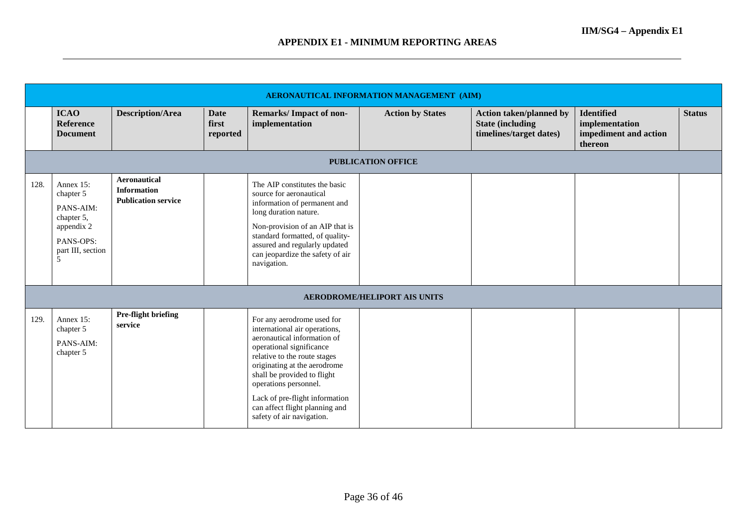|      |                                                                                                        |                                                                         |                                  |                                                                                                                                                                                                                                                                                                                                                 | <b>AERONAUTICAL INFORMATION MANAGEMENT (AIM)</b> |                                                                                       |                                                                         |               |  |  |  |
|------|--------------------------------------------------------------------------------------------------------|-------------------------------------------------------------------------|----------------------------------|-------------------------------------------------------------------------------------------------------------------------------------------------------------------------------------------------------------------------------------------------------------------------------------------------------------------------------------------------|--------------------------------------------------|---------------------------------------------------------------------------------------|-------------------------------------------------------------------------|---------------|--|--|--|
|      | <b>ICAO</b><br>Reference<br><b>Document</b>                                                            | <b>Description/Area</b>                                                 | <b>Date</b><br>first<br>reported | <b>Remarks/Impact of non-</b><br>implementation                                                                                                                                                                                                                                                                                                 | <b>Action by States</b>                          | <b>Action taken/planned by</b><br><b>State (including)</b><br>timelines/target dates) | <b>Identified</b><br>implementation<br>impediment and action<br>thereon | <b>Status</b> |  |  |  |
|      | <b>PUBLICATION OFFICE</b>                                                                              |                                                                         |                                  |                                                                                                                                                                                                                                                                                                                                                 |                                                  |                                                                                       |                                                                         |               |  |  |  |
| 128. | Annex 15:<br>chapter 5<br>PANS-AIM:<br>chapter 5,<br>appendix 2<br>PANS-OPS:<br>part III, section<br>5 | <b>Aeronautical</b><br><b>Information</b><br><b>Publication service</b> |                                  | The AIP constitutes the basic<br>source for aeronautical<br>information of permanent and<br>long duration nature.<br>Non-provision of an AIP that is<br>standard formatted, of quality-<br>assured and regularly updated<br>can jeopardize the safety of air<br>navigation.                                                                     |                                                  |                                                                                       |                                                                         |               |  |  |  |
|      |                                                                                                        |                                                                         |                                  |                                                                                                                                                                                                                                                                                                                                                 | <b>AERODROME/HELIPORT AIS UNITS</b>              |                                                                                       |                                                                         |               |  |  |  |
| 129. | Annex 15:<br>chapter 5<br>PANS-AIM:<br>chapter 5                                                       | Pre-flight briefing<br>service                                          |                                  | For any aerodrome used for<br>international air operations,<br>aeronautical information of<br>operational significance<br>relative to the route stages<br>originating at the aerodrome<br>shall be provided to flight<br>operations personnel.<br>Lack of pre-flight information<br>can affect flight planning and<br>safety of air navigation. |                                                  |                                                                                       |                                                                         |               |  |  |  |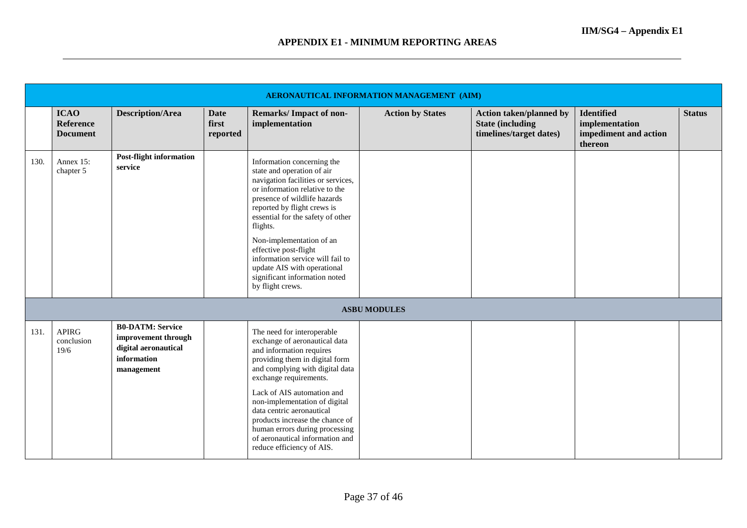|      |                                             |                                                                                                     |                                  |                                                                                                                                                                                                                                                                                                                                                                                                                               | AERONAUTICAL INFORMATION MANAGEMENT (AIM) |                                                                                       |                                                                         |               |
|------|---------------------------------------------|-----------------------------------------------------------------------------------------------------|----------------------------------|-------------------------------------------------------------------------------------------------------------------------------------------------------------------------------------------------------------------------------------------------------------------------------------------------------------------------------------------------------------------------------------------------------------------------------|-------------------------------------------|---------------------------------------------------------------------------------------|-------------------------------------------------------------------------|---------------|
|      | <b>ICAO</b><br>Reference<br><b>Document</b> | <b>Description/Area</b>                                                                             | <b>Date</b><br>first<br>reported | <b>Remarks/Impact of non-</b><br>implementation                                                                                                                                                                                                                                                                                                                                                                               | <b>Action by States</b>                   | <b>Action taken/planned by</b><br><b>State (including)</b><br>timelines/target dates) | <b>Identified</b><br>implementation<br>impediment and action<br>thereon | <b>Status</b> |
| 130. | Annex 15:<br>chapter 5                      | <b>Post-flight information</b><br>service                                                           |                                  | Information concerning the<br>state and operation of air<br>navigation facilities or services,<br>or information relative to the<br>presence of wildlife hazards<br>reported by flight crews is<br>essential for the safety of other<br>flights.<br>Non-implementation of an<br>effective post-flight<br>information service will fail to<br>update AIS with operational<br>significant information noted<br>by flight crews. |                                           |                                                                                       |                                                                         |               |
|      |                                             |                                                                                                     |                                  |                                                                                                                                                                                                                                                                                                                                                                                                                               | <b>ASBU MODULES</b>                       |                                                                                       |                                                                         |               |
| 131. | <b>APIRG</b><br>conclusion<br>19/6          | <b>B0-DATM: Service</b><br>improvement through<br>digital aeronautical<br>information<br>management |                                  | The need for interoperable<br>exchange of aeronautical data<br>and information requires<br>providing them in digital form<br>and complying with digital data<br>exchange requirements.<br>Lack of AIS automation and<br>non-implementation of digital<br>data centric aeronautical<br>products increase the chance of<br>human errors during processing<br>of aeronautical information and<br>reduce efficiency of AIS.       |                                           |                                                                                       |                                                                         |               |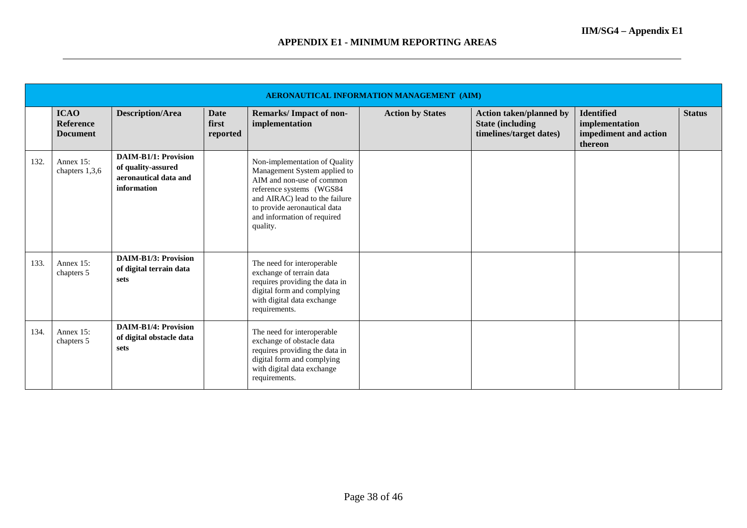|      | <b>AERONAUTICAL INFORMATION MANAGEMENT (AIM)</b> |                                                                                           |                                  |                                                                                                                                                                                                                                     |                         |                                                                                |                                                                         |               |  |
|------|--------------------------------------------------|-------------------------------------------------------------------------------------------|----------------------------------|-------------------------------------------------------------------------------------------------------------------------------------------------------------------------------------------------------------------------------------|-------------------------|--------------------------------------------------------------------------------|-------------------------------------------------------------------------|---------------|--|
|      | <b>ICAO</b><br>Reference<br><b>Document</b>      | <b>Description/Area</b>                                                                   | <b>Date</b><br>first<br>reported | <b>Remarks/Impact of non-</b><br>implementation                                                                                                                                                                                     | <b>Action by States</b> | Action taken/planned by<br><b>State (including)</b><br>timelines/target dates) | <b>Identified</b><br>implementation<br>impediment and action<br>thereon | <b>Status</b> |  |
| 132. | Annex 15:<br>chapters 1,3,6                      | <b>DAIM-B1/1: Provision</b><br>of quality-assured<br>aeronautical data and<br>information |                                  | Non-implementation of Quality<br>Management System applied to<br>AIM and non-use of common<br>reference systems (WGS84<br>and AIRAC) lead to the failure<br>to provide aeronautical data<br>and information of required<br>quality. |                         |                                                                                |                                                                         |               |  |
| 133. | Annex 15:<br>chapters 5                          | <b>DAIM-B1/3: Provision</b><br>of digital terrain data<br>sets                            |                                  | The need for interoperable<br>exchange of terrain data<br>requires providing the data in<br>digital form and complying<br>with digital data exchange<br>requirements.                                                               |                         |                                                                                |                                                                         |               |  |
| 134. | Annex 15:<br>chapters 5                          | <b>DAIM-B1/4: Provision</b><br>of digital obstacle data<br>sets                           |                                  | The need for interoperable<br>exchange of obstacle data<br>requires providing the data in<br>digital form and complying<br>with digital data exchange<br>requirements.                                                              |                         |                                                                                |                                                                         |               |  |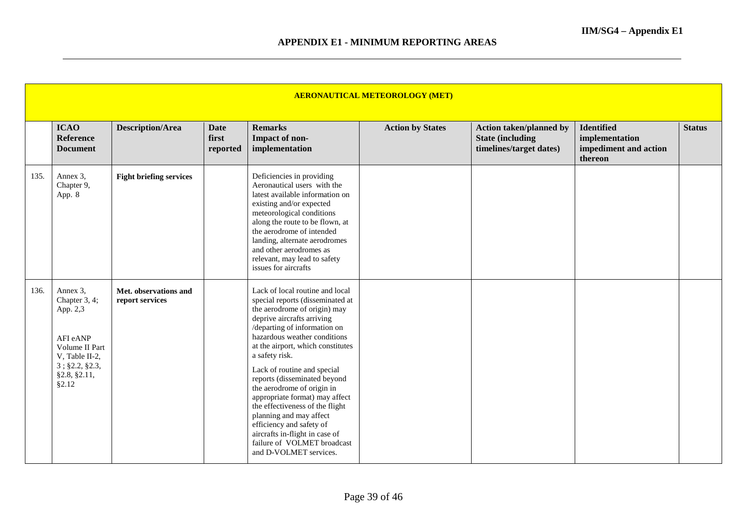|      | <b>AERONAUTICAL METEOROLOGY (MET)</b>                                                                                               |                                          |                                  |                                                                                                                                                                                                                                                                                                                                                                                                                                                                                                                                                                              |                         |                                                                                       |                                                                         |               |  |  |
|------|-------------------------------------------------------------------------------------------------------------------------------------|------------------------------------------|----------------------------------|------------------------------------------------------------------------------------------------------------------------------------------------------------------------------------------------------------------------------------------------------------------------------------------------------------------------------------------------------------------------------------------------------------------------------------------------------------------------------------------------------------------------------------------------------------------------------|-------------------------|---------------------------------------------------------------------------------------|-------------------------------------------------------------------------|---------------|--|--|
|      | <b>ICAO</b><br>Reference<br><b>Document</b>                                                                                         | <b>Description/Area</b>                  | <b>Date</b><br>first<br>reported | <b>Remarks</b><br>Impact of non-<br>implementation                                                                                                                                                                                                                                                                                                                                                                                                                                                                                                                           | <b>Action by States</b> | <b>Action taken/planned by</b><br><b>State (including)</b><br>timelines/target dates) | <b>Identified</b><br>implementation<br>impediment and action<br>thereon | <b>Status</b> |  |  |
| 135. | Annex 3,<br>Chapter 9,<br>App. 8                                                                                                    | <b>Fight briefing services</b>           |                                  | Deficiencies in providing<br>Aeronautical users with the<br>latest available information on<br>existing and/or expected<br>meteorological conditions<br>along the route to be flown, at<br>the aerodrome of intended<br>landing, alternate aerodromes<br>and other aerodromes as<br>relevant, may lead to safety<br>issues for aircrafts                                                                                                                                                                                                                                     |                         |                                                                                       |                                                                         |               |  |  |
| 136. | Annex 3,<br>Chapter 3, 4;<br>App. 2,3<br>AFI eANP<br>Volume II Part<br>V, Table II-2,<br>$3$ ; §2.2, §2.3,<br>§2.8, §2.11,<br>§2.12 | Met. observations and<br>report services |                                  | Lack of local routine and local<br>special reports (disseminated at<br>the aerodrome of origin) may<br>deprive aircrafts arriving<br>/departing of information on<br>hazardous weather conditions<br>at the airport, which constitutes<br>a safety risk.<br>Lack of routine and special<br>reports (disseminated beyond<br>the aerodrome of origin in<br>appropriate format) may affect<br>the effectiveness of the flight<br>planning and may affect<br>efficiency and safety of<br>aircrafts in-flight in case of<br>failure of VOLMET broadcast<br>and D-VOLMET services. |                         |                                                                                       |                                                                         |               |  |  |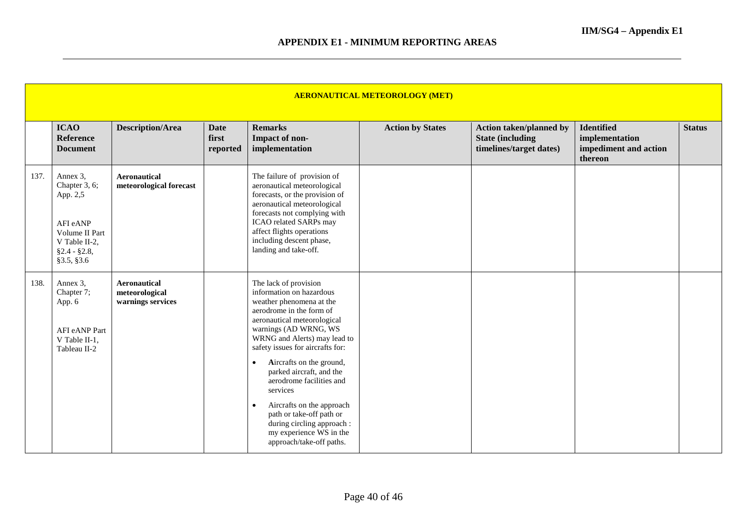|      | <b>AERONAUTICAL METEOROLOGY (MET)</b>                                                                                |                                                            |                                  |                                                                                                                                                                                                                                                                                                                                                                                                                                                                                                               |                         |                                                                                       |                                                                         |               |  |  |
|------|----------------------------------------------------------------------------------------------------------------------|------------------------------------------------------------|----------------------------------|---------------------------------------------------------------------------------------------------------------------------------------------------------------------------------------------------------------------------------------------------------------------------------------------------------------------------------------------------------------------------------------------------------------------------------------------------------------------------------------------------------------|-------------------------|---------------------------------------------------------------------------------------|-------------------------------------------------------------------------|---------------|--|--|
|      | <b>ICAO</b><br>Reference<br><b>Document</b>                                                                          | <b>Description/Area</b>                                    | <b>Date</b><br>first<br>reported | <b>Remarks</b><br>Impact of non-<br>implementation                                                                                                                                                                                                                                                                                                                                                                                                                                                            | <b>Action by States</b> | <b>Action taken/planned by</b><br><b>State (including)</b><br>timelines/target dates) | <b>Identified</b><br>implementation<br>impediment and action<br>thereon | <b>Status</b> |  |  |
| 137. | Annex 3,<br>Chapter 3, 6;<br>App. 2,5<br>AFI eANP<br>Volume II Part<br>V Table II-2,<br>$§2.4 - §2.8,$<br>§3.5, §3.6 | <b>Aeronautical</b><br>meteorological forecast             |                                  | The failure of provision of<br>aeronautical meteorological<br>forecasts, or the provision of<br>aeronautical meteorological<br>forecasts not complying with<br>ICAO related SARPs may<br>affect flights operations<br>including descent phase,<br>landing and take-off.                                                                                                                                                                                                                                       |                         |                                                                                       |                                                                         |               |  |  |
| 138. | Annex 3,<br>Chapter 7;<br>App. 6<br>AFI eANP Part<br>V Table II-1,<br>Tableau II-2                                   | <b>Aeronautical</b><br>meteorological<br>warnings services |                                  | The lack of provision<br>information on hazardous<br>weather phenomena at the<br>aerodrome in the form of<br>aeronautical meteorological<br>warnings (AD WRNG, WS<br>WRNG and Alerts) may lead to<br>safety issues for aircrafts for:<br>Aircrafts on the ground,<br>$\bullet$<br>parked aircraft, and the<br>aerodrome facilities and<br>services<br>Aircrafts on the approach<br>$\bullet$<br>path or take-off path or<br>during circling approach :<br>my experience WS in the<br>approach/take-off paths. |                         |                                                                                       |                                                                         |               |  |  |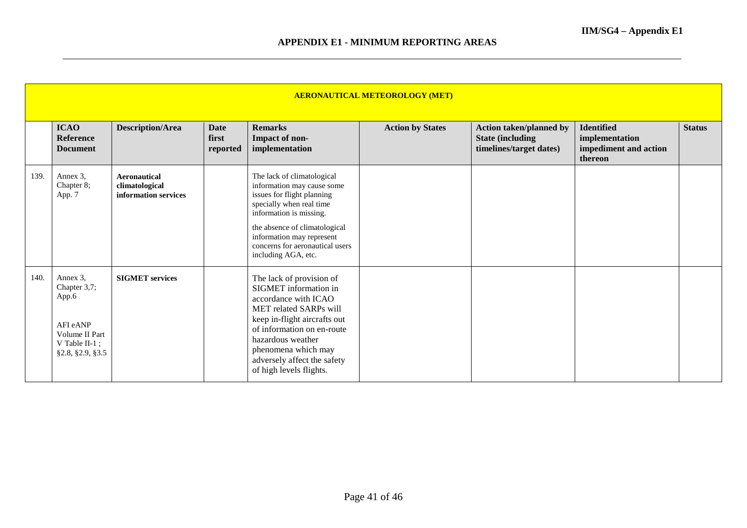|      | <b>AERONAUTICAL METEOROLOGY (MET)</b>                                                                 |                                                        |                                  |                                                                                                                                                                                                                                                                         |                         |                                                                                       |                                                                         |               |  |  |
|------|-------------------------------------------------------------------------------------------------------|--------------------------------------------------------|----------------------------------|-------------------------------------------------------------------------------------------------------------------------------------------------------------------------------------------------------------------------------------------------------------------------|-------------------------|---------------------------------------------------------------------------------------|-------------------------------------------------------------------------|---------------|--|--|
|      | <b>ICAO</b><br><b>Reference</b><br><b>Document</b>                                                    | <b>Description/Area</b>                                | <b>Date</b><br>first<br>reported | <b>Remarks</b><br>Impact of non-<br>implementation                                                                                                                                                                                                                      | <b>Action by States</b> | <b>Action taken/planned by</b><br><b>State (including)</b><br>timelines/target dates) | <b>Identified</b><br>implementation<br>impediment and action<br>thereon | <b>Status</b> |  |  |
| 139. | Annex 3.<br>Chapter 8;<br>App. 7                                                                      | Aeronautical<br>climatological<br>information services |                                  | The lack of climatological<br>information may cause some<br>issues for flight planning<br>specially when real time<br>information is missing.<br>the absence of climatological<br>information may represent<br>concerns for aeronautical users<br>including AGA, etc.   |                         |                                                                                       |                                                                         |               |  |  |
| 140. | Annex 3,<br>Chapter 3,7;<br>App.6<br>AFI eANP<br>Volume II Part<br>V Table II-1 :<br>§2.8, §2.9, §3.5 | <b>SIGMET</b> services                                 |                                  | The lack of provision of<br>SIGMET information in<br>accordance with ICAO<br>MET related SARPs will<br>keep in-flight aircrafts out<br>of information on en-route<br>hazardous weather<br>phenomena which may<br>adversely affect the safety<br>of high levels flights. |                         |                                                                                       |                                                                         |               |  |  |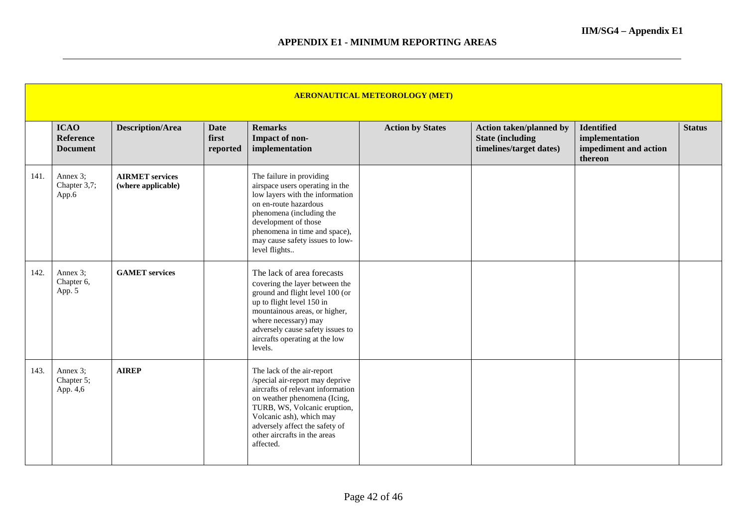|      | <b>AERONAUTICAL METEOROLOGY (MET)</b>       |                                              |                                  |                                                                                                                                                                                                                                                                               |                         |                                                                                      |                                                                         |               |  |  |
|------|---------------------------------------------|----------------------------------------------|----------------------------------|-------------------------------------------------------------------------------------------------------------------------------------------------------------------------------------------------------------------------------------------------------------------------------|-------------------------|--------------------------------------------------------------------------------------|-------------------------------------------------------------------------|---------------|--|--|
|      | <b>ICAO</b><br>Reference<br><b>Document</b> | <b>Description/Area</b>                      | <b>Date</b><br>first<br>reported | <b>Remarks</b><br>Impact of non-<br>implementation                                                                                                                                                                                                                            | <b>Action by States</b> | <b>Action taken/planned by</b><br><b>State (including</b><br>timelines/target dates) | <b>Identified</b><br>implementation<br>impediment and action<br>thereon | <b>Status</b> |  |  |
| 141. | Annex 3;<br>Chapter 3,7;<br>App.6           | <b>AIRMET</b> services<br>(where applicable) |                                  | The failure in providing<br>airspace users operating in the<br>low layers with the information<br>on en-route hazardous<br>phenomena (including the<br>development of those<br>phenomena in time and space),<br>may cause safety issues to low-<br>level flights              |                         |                                                                                      |                                                                         |               |  |  |
| 142. | Annex 3;<br>Chapter 6,<br>App. 5            | <b>GAMET</b> services                        |                                  | The lack of area forecasts<br>covering the layer between the<br>ground and flight level 100 (or<br>up to flight level 150 in<br>mountainous areas, or higher,<br>where necessary) may<br>adversely cause safety issues to<br>aircrafts operating at the low<br>levels.        |                         |                                                                                      |                                                                         |               |  |  |
| 143. | Annex 3;<br>Chapter 5;<br>App. 4,6          | <b>AIREP</b>                                 |                                  | The lack of the air-report<br>/special air-report may deprive<br>aircrafts of relevant information<br>on weather phenomena (Icing,<br>TURB, WS, Volcanic eruption,<br>Volcanic ash), which may<br>adversely affect the safety of<br>other aircrafts in the areas<br>affected. |                         |                                                                                      |                                                                         |               |  |  |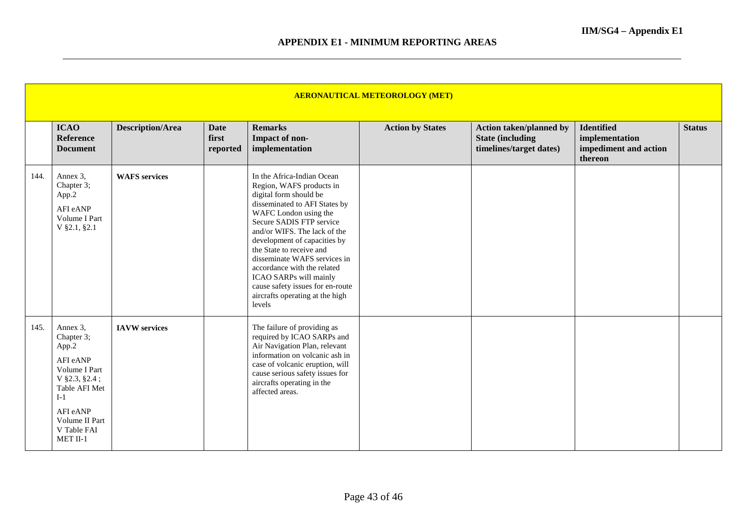|      |                                                                                                                                                                    |                         |                                  |                                                                                                                                                                                                                                                                                                                                                                                                                                              | <b>AERONAUTICAL METEOROLOGY (MET)</b> |                                                                                       |                                                                         |               |
|------|--------------------------------------------------------------------------------------------------------------------------------------------------------------------|-------------------------|----------------------------------|----------------------------------------------------------------------------------------------------------------------------------------------------------------------------------------------------------------------------------------------------------------------------------------------------------------------------------------------------------------------------------------------------------------------------------------------|---------------------------------------|---------------------------------------------------------------------------------------|-------------------------------------------------------------------------|---------------|
|      | <b>ICAO</b><br><b>Reference</b><br><b>Document</b>                                                                                                                 | <b>Description/Area</b> | <b>Date</b><br>first<br>reported | <b>Remarks</b><br>Impact of non-<br>implementation                                                                                                                                                                                                                                                                                                                                                                                           | <b>Action by States</b>               | <b>Action taken/planned by</b><br><b>State (including)</b><br>timelines/target dates) | <b>Identified</b><br>implementation<br>impediment and action<br>thereon | <b>Status</b> |
| 144. | Annex 3,<br>Chapter 3;<br>App.2<br>AFI eANP<br>Volume I Part<br>V §2.1, §2.1                                                                                       | <b>WAFS</b> services    |                                  | In the Africa-Indian Ocean<br>Region, WAFS products in<br>digital form should be<br>disseminated to AFI States by<br>WAFC London using the<br>Secure SADIS FTP service<br>and/or WIFS. The lack of the<br>development of capacities by<br>the State to receive and<br>disseminate WAFS services in<br>accordance with the related<br>ICAO SARPs will mainly<br>cause safety issues for en-route<br>aircrafts operating at the high<br>levels |                                       |                                                                                       |                                                                         |               |
| 145. | Annex 3,<br>Chapter 3;<br>App.2<br>AFI eANP<br>Volume I Part<br>$V$ §2.3, §2.4;<br>Table AFI Met<br>$I-1$<br>AFI eANP<br>Volume II Part<br>V Table FAI<br>MET II-1 | <b>IAVW</b> services    |                                  | The failure of providing as<br>required by ICAO SARPs and<br>Air Navigation Plan, relevant<br>information on volcanic ash in<br>case of volcanic eruption, will<br>cause serious safety issues for<br>aircrafts operating in the<br>affected areas.                                                                                                                                                                                          |                                       |                                                                                       |                                                                         |               |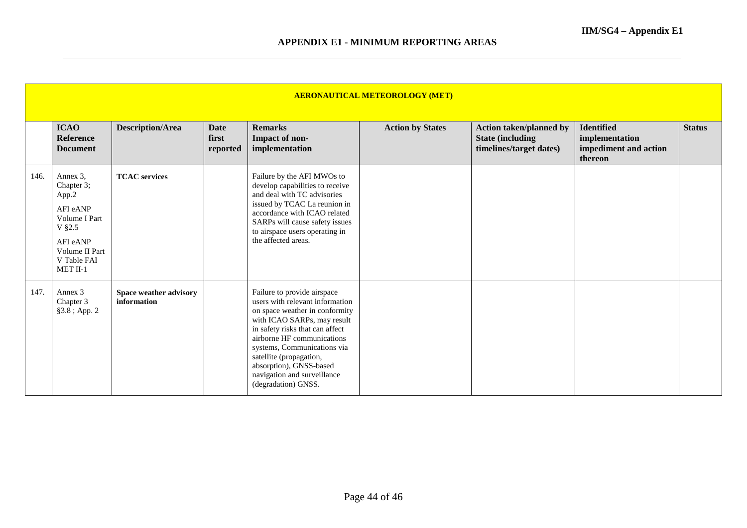|      | <b>AERONAUTICAL METEOROLOGY (MET)</b>                                                                                           |                                       |                                  |                                                                                                                                                                                                                                                                                                                                             |                         |                                                                                       |                                                                         |               |  |  |  |
|------|---------------------------------------------------------------------------------------------------------------------------------|---------------------------------------|----------------------------------|---------------------------------------------------------------------------------------------------------------------------------------------------------------------------------------------------------------------------------------------------------------------------------------------------------------------------------------------|-------------------------|---------------------------------------------------------------------------------------|-------------------------------------------------------------------------|---------------|--|--|--|
|      | <b>ICAO</b><br><b>Reference</b><br><b>Document</b>                                                                              | <b>Description/Area</b>               | <b>Date</b><br>first<br>reported | <b>Remarks</b><br>Impact of non-<br>implementation                                                                                                                                                                                                                                                                                          | <b>Action by States</b> | <b>Action taken/planned by</b><br><b>State (including)</b><br>timelines/target dates) | <b>Identified</b><br>implementation<br>impediment and action<br>thereon | <b>Status</b> |  |  |  |
| 146. | Annex 3,<br>Chapter 3;<br>App.2<br>AFI eANP<br>Volume I Part<br>V §2.5<br>AFI eANP<br>Volume II Part<br>V Table FAI<br>MET II-1 | <b>TCAC</b> services                  |                                  | Failure by the AFI MWOs to<br>develop capabilities to receive<br>and deal with TC advisories<br>issued by TCAC La reunion in<br>accordance with ICAO related<br>SARPs will cause safety issues<br>to airspace users operating in<br>the affected areas.                                                                                     |                         |                                                                                       |                                                                         |               |  |  |  |
| 147. | Annex 3<br>Chapter 3<br>$§3.8$ ; App. 2                                                                                         | Space weather advisory<br>information |                                  | Failure to provide airspace<br>users with relevant information<br>on space weather in conformity<br>with ICAO SARPs, may result<br>in safety risks that can affect<br>airborne HF communications<br>systems, Communications via<br>satellite (propagation,<br>absorption), GNSS-based<br>navigation and surveillance<br>(degradation) GNSS. |                         |                                                                                       |                                                                         |               |  |  |  |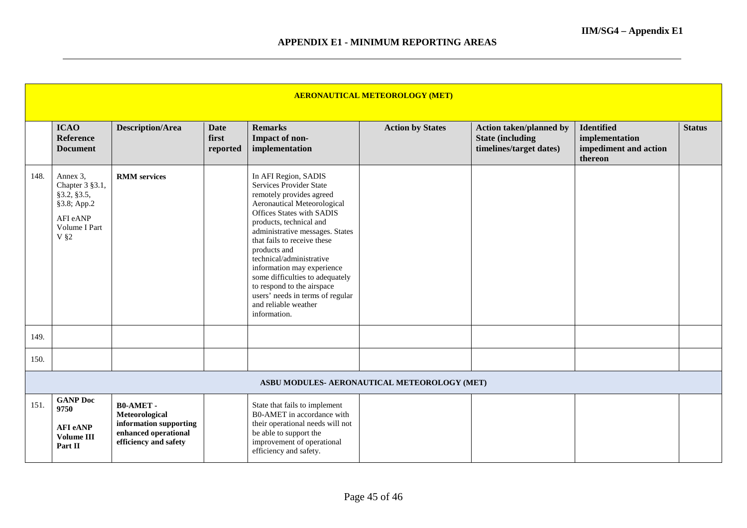|      |                                                                                                  |                                                                                                              |                                  |                                                                                                                                                                                                                                                                                                                                                                                                                                                                    | <b>AERONAUTICAL METEOROLOGY (MET)</b>        |                                                                                      |                                                                         |               |
|------|--------------------------------------------------------------------------------------------------|--------------------------------------------------------------------------------------------------------------|----------------------------------|--------------------------------------------------------------------------------------------------------------------------------------------------------------------------------------------------------------------------------------------------------------------------------------------------------------------------------------------------------------------------------------------------------------------------------------------------------------------|----------------------------------------------|--------------------------------------------------------------------------------------|-------------------------------------------------------------------------|---------------|
|      | <b>ICAO</b><br><b>Reference</b><br><b>Document</b>                                               | <b>Description/Area</b>                                                                                      | <b>Date</b><br>first<br>reported | <b>Remarks</b><br>Impact of non-<br>implementation                                                                                                                                                                                                                                                                                                                                                                                                                 | <b>Action by States</b>                      | <b>Action taken/planned by</b><br><b>State (including</b><br>timelines/target dates) | <b>Identified</b><br>implementation<br>impediment and action<br>thereon | <b>Status</b> |
| 148. | Annex 3,<br>Chapter 3 §3.1,<br>§3.2, §3.5,<br>§3.8; App.2<br>AFI eANP<br>Volume I Part<br>$V$ §2 | <b>RMM</b> services                                                                                          |                                  | In AFI Region, SADIS<br>Services Provider State<br>remotely provides agreed<br>Aeronautical Meteorological<br><b>Offices States with SADIS</b><br>products, technical and<br>administrative messages. States<br>that fails to receive these<br>products and<br>technical/administrative<br>information may experience<br>some difficulties to adequately<br>to respond to the airspace<br>users' needs in terms of regular<br>and reliable weather<br>information. |                                              |                                                                                      |                                                                         |               |
| 149. |                                                                                                  |                                                                                                              |                                  |                                                                                                                                                                                                                                                                                                                                                                                                                                                                    |                                              |                                                                                      |                                                                         |               |
| 150. |                                                                                                  |                                                                                                              |                                  |                                                                                                                                                                                                                                                                                                                                                                                                                                                                    |                                              |                                                                                      |                                                                         |               |
|      |                                                                                                  |                                                                                                              |                                  |                                                                                                                                                                                                                                                                                                                                                                                                                                                                    | ASBU MODULES- AERONAUTICAL METEOROLOGY (MET) |                                                                                      |                                                                         |               |
| 151. | <b>GANP Doc</b><br>9750<br><b>AFI eANP</b><br>Volume III<br>Part II                              | <b>B0-AMET-</b><br>Meteorological<br>information supporting<br>enhanced operational<br>efficiency and safety |                                  | State that fails to implement<br>B0-AMET in accordance with<br>their operational needs will not<br>be able to support the<br>improvement of operational<br>efficiency and safety.                                                                                                                                                                                                                                                                                  |                                              |                                                                                      |                                                                         |               |